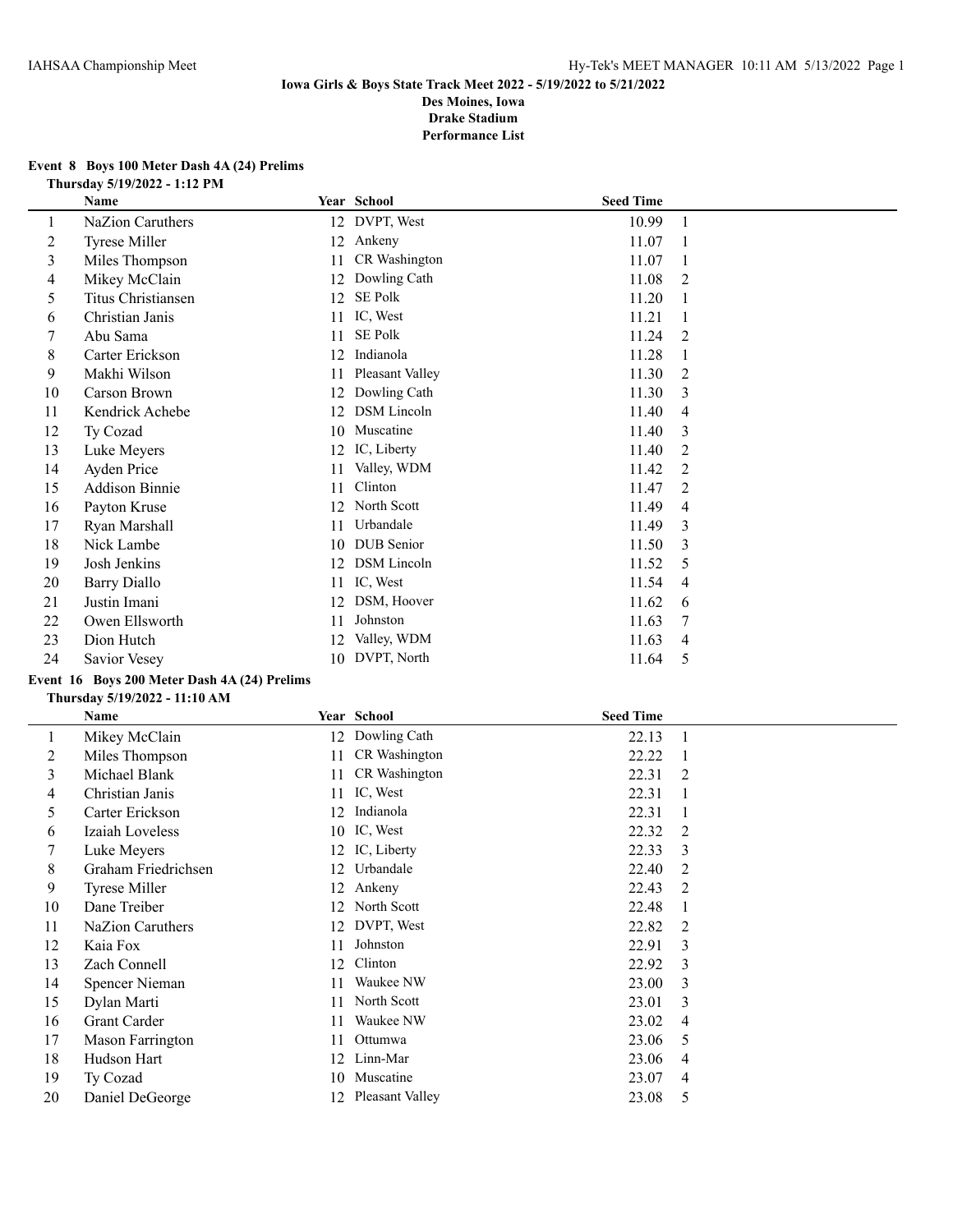#### **Event 8 Boys 100 Meter Dash 4A (24) Prelims Thursday 5/19/2022 - 1:12 PM**

|         | Name                  |    | Year School        | <b>Seed Time</b> |   |
|---------|-----------------------|----|--------------------|------------------|---|
| $\perp$ | NaZion Caruthers      |    | 12 DVPT, West      | 10.99            | 1 |
| 2       | <b>Tyrese Miller</b>  | 12 | Ankeny             | 11.07            | 1 |
| 3       | Miles Thompson        | 11 | CR Washington      | 11.07            |   |
| 4       | Mikey McClain         | 12 | Dowling Cath       | 11.08            | 2 |
| 5       | Titus Christiansen    | 12 | <b>SE Polk</b>     | 11.20            |   |
| 6       | Christian Janis       | 11 | IC, West           | 11.21            |   |
|         | Abu Sama              | 11 | <b>SE Polk</b>     | 11.24            | 2 |
| 8       | Carter Erickson       | 12 | Indianola          | 11.28            |   |
| 9       | Makhi Wilson          | 11 | Pleasant Valley    | 11.30            | 2 |
| 10      | <b>Carson Brown</b>   | 12 | Dowling Cath       | 11.30            | 3 |
| 11      | Kendrick Achebe       | 12 | <b>DSM</b> Lincoln | 11.40            | 4 |
| 12      | Ty Cozad              | 10 | Muscatine          | 11.40            | 3 |
| 13      | Luke Meyers           | 12 | IC, Liberty        | 11.40            | 2 |
| 14      | Ayden Price           | 11 | Valley, WDM        | 11.42            | 2 |
| 15      | <b>Addison Binnie</b> | 11 | Clinton            | 11.47            | 2 |
| 16      | Payton Kruse          | 12 | North Scott        | 11.49            | 4 |
| 17      | Ryan Marshall         | 11 | Urbandale          | 11.49            | 3 |
| 18      | Nick Lambe            | 10 | <b>DUB</b> Senior  | 11.50            | 3 |
| 19      | Josh Jenkins          | 12 | <b>DSM</b> Lincoln | 11.52            | 5 |
| 20      | <b>Barry Diallo</b>   | 11 | IC, West           | 11.54            | 4 |
| 21      | Justin Imani          | 12 | DSM, Hoover        | 11.62            | 6 |
| 22      | Owen Ellsworth        | 11 | Johnston           | 11.63            | 7 |
| 23      | Dion Hutch            | 12 | Valley, WDM        | 11.63            | 4 |
| 24      | Savior Vesey          | 10 | DVPT, North        | 11.64            | 5 |

# **Event 16 Boys 200 Meter Dash 4A (24) Prelims**

#### **Thursday 5/19/2022 - 11:10 AM**

|    | Name                 |    | Year School        | <b>Seed Time</b> |                |
|----|----------------------|----|--------------------|------------------|----------------|
|    | Mikey McClain        | 12 | Dowling Cath       | 22.13            |                |
| 2  | Miles Thompson       | 11 | CR Washington      | 22.22            |                |
| 3  | Michael Blank        | 11 | CR Washington      | 22.31            | 2              |
| 4  | Christian Janis      | 11 | IC, West           | 22.31            |                |
| 5  | Carter Erickson      | 12 | Indianola          | 22.31            |                |
| 6  | Izaiah Loveless      |    | 10 IC, West        | 22.32            | 2              |
| 7  | Luke Meyers          |    | 12 IC, Liberty     | 22.33            | 3              |
| 8  | Graham Friedrichsen  | 12 | Urbandale          | 22.40            | 2              |
| 9  | <b>Tyrese Miller</b> | 12 | Ankeny             | 22.43            | 2              |
| 10 | Dane Treiber         | 12 | North Scott        | 22.48            | 1              |
| 11 | NaZion Caruthers     | 12 | DVPT, West         | 22.82            | 2              |
| 12 | Kaia Fox             | 11 | Johnston           | 22.91            | 3              |
| 13 | Zach Connell         | 12 | Clinton            | 22.92            | 3              |
| 14 | Spencer Nieman       | 11 | Waukee NW          | 23.00            | 3              |
| 15 | Dylan Marti          | 11 | North Scott        | 23.01            | 3              |
| 16 | Grant Carder         | 11 | Waukee NW          | 23.02            | $\overline{4}$ |
| 17 | Mason Farrington     | 11 | Ottumwa            | 23.06            | 5              |
| 18 | Hudson Hart          | 12 | Linn-Mar           | 23.06            | 4              |
| 19 | Ty Cozad             | 10 | Muscatine          | 23.07            | 4              |
| 20 | Daniel DeGeorge      |    | 12 Pleasant Valley | 23.08            | 5              |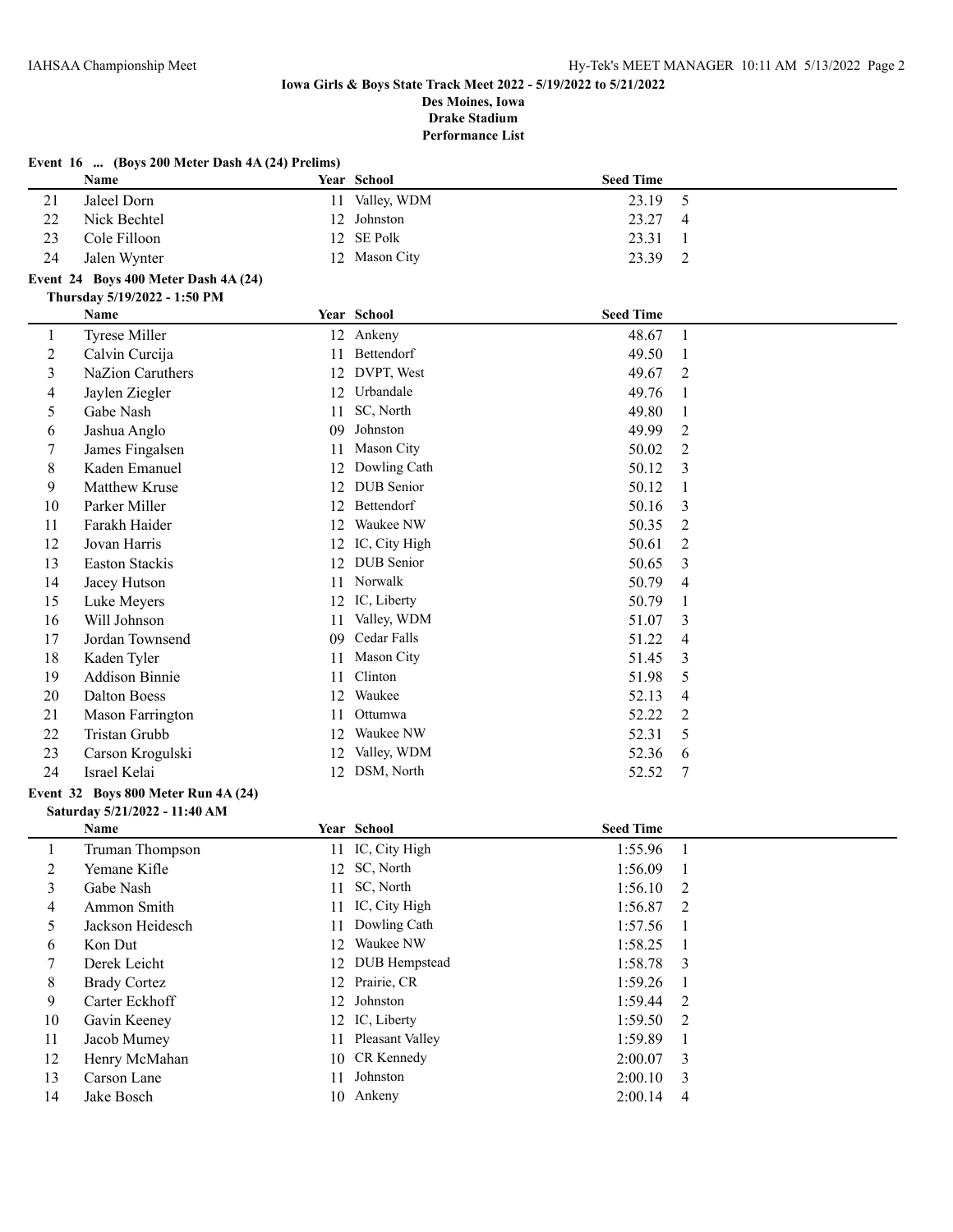|                | Event 16  (Boys 200 Meter Dash 4A (24) Prelims)<br>Name |    | Year School          | <b>Seed Time</b> |                |
|----------------|---------------------------------------------------------|----|----------------------|------------------|----------------|
| 21             | Jaleel Dorn                                             | 11 | Valley, WDM          | 23.19            |                |
|                |                                                         |    | Johnston             |                  | 5              |
| 22             | Nick Bechtel                                            | 12 | SE Polk              | 23.27            | 4              |
| 23             | Cole Filloon                                            | 12 |                      | 23.31            | 1              |
| 24             | Jalen Wynter                                            |    | 12 Mason City        | 23.39            | $\overline{2}$ |
|                | Event 24 Boys 400 Meter Dash 4A (24)                    |    |                      |                  |                |
|                | Thursday 5/19/2022 - 1:50 PM                            |    |                      |                  |                |
|                | Name                                                    |    | Year School          | <b>Seed Time</b> |                |
| $\mathbf{1}$   | <b>Tyrese Miller</b>                                    |    | 12 Ankeny            | 48.67            | $\mathbf{1}$   |
| $\overline{c}$ | Calvin Curcija                                          | 11 | Bettendorf           | 49.50            | 1              |
| 3              | NaZion Caruthers                                        | 12 | DVPT, West           | 49.67            | 2              |
| 4              | Jaylen Ziegler                                          | 12 | Urbandale            | 49.76            | 1              |
| 5              | Gabe Nash                                               | 11 | SC, North            | 49.80            | 1              |
| 6              | Jashua Anglo                                            | 09 | Johnston             | 49.99            | 2              |
| 7              | James Fingalsen                                         | 11 | Mason City           | 50.02            | 2              |
| 8              | Kaden Emanuel                                           | 12 | Dowling Cath         | 50.12            | 3              |
| 9              | Matthew Kruse                                           | 12 | <b>DUB</b> Senior    | 50.12            | 1              |
| 10             | Parker Miller                                           | 12 | Bettendorf           | 50.16            | 3              |
| 11             | Farakh Haider                                           | 12 | Waukee NW            | 50.35            | 2              |
| 12             | Jovan Harris                                            |    | 12 IC, City High     | 50.61            | 2              |
| 13             | Easton Stackis                                          |    | 12 DUB Senior        | 50.65            | 3              |
| 14             | Jacey Hutson                                            | 11 | Norwalk              | 50.79            | 4              |
| 15             | Luke Meyers                                             | 12 | IC, Liberty          | 50.79            | 1              |
| 16             | Will Johnson                                            | 11 | Valley, WDM          | 51.07            | 3              |
| 17             | Jordan Townsend                                         | 09 | Cedar Falls          | 51.22            | 4              |
| 18             | Kaden Tyler                                             | 11 | Mason City           | 51.45            | 3              |
| 19             | <b>Addison Binnie</b>                                   | 11 | Clinton              | 51.98            | 5              |
| 20             | <b>Dalton Boess</b>                                     | 12 | Waukee               | 52.13            | 4              |
| 21             | Mason Farrington                                        | 11 | Ottumwa              | 52.22            | 2              |
| 22             | Tristan Grubb                                           | 12 | Waukee NW            | 52.31            | 5              |
| 23             | Carson Krogulski                                        | 12 | Valley, WDM          | 52.36            | 6              |
| 24             | Israel Kelai                                            |    | 12 DSM, North        | 52.52            | 7              |
|                | Event 32 Boys 800 Meter Run 4A (24)                     |    |                      |                  |                |
|                | Saturday 5/21/2022 - 11:40 AM                           |    |                      |                  |                |
|                | Name                                                    |    | Year School          | <b>Seed Time</b> |                |
|                | <b>Truman Thompson</b>                                  |    | 11 IC, City High     | 1:55.96          | 1              |
| $\overline{c}$ | Yemane Kifle                                            |    | 12 SC, North         | 1:56.09          | $\mathbf{1}$   |
| 3              | Gabe Nash                                               | 11 | SC, North            | 1:56.10          | 2              |
| 4              | Ammon Smith                                             | 11 | IC, City High        | 1:56.87          | 2              |
| 5              | Jackson Heidesch                                        | 11 | Dowling Cath         | 1:57.56          | 1              |
| 6              | Kon Dut                                                 | 12 | Waukee NW            | 1:58.25          | -1             |
|                |                                                         |    | <b>DUB</b> Hempstead |                  |                |
| 7              | Derek Leicht                                            | 12 | Prairie, CR          | 1:58.78          | 3              |
| 8              | <b>Brady Cortez</b>                                     | 12 |                      | 1:59.26          | 1              |
| 9              | Carter Eckhoff                                          | 12 | Johnston             | 1:59.44          | 2              |
| 10             | Gavin Keeney                                            |    | 12 IC, Liberty       | 1:59.50          | 2              |
| 11             | Jacob Mumey                                             | 11 | Pleasant Valley      | 1:59.89          | 1              |
| 12             | Henry McMahan                                           | 10 | CR Kennedy           | 2:00.07          | 3              |
| 13             | Carson Lane                                             | 11 | Johnston             | 2:00.10          | 3              |
| 14             | Jake Bosch                                              |    | 10 Ankeny            | 2:00.14          | $\overline{4}$ |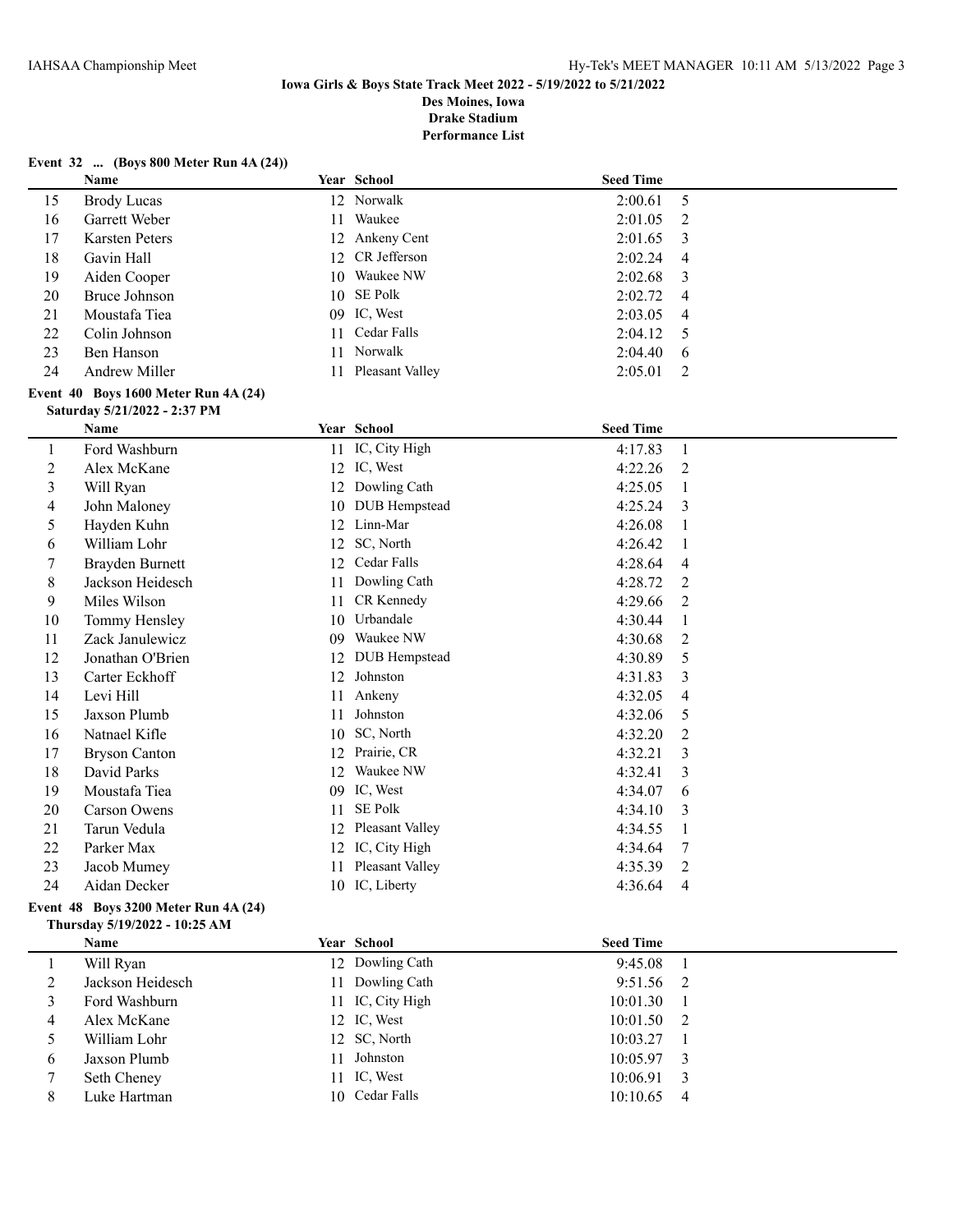#### **Event 32 ... (Boys 800 Meter Run 4A (24))**

**Thursday 5/19/2022 - 10:25 AM**

|                         | Name                                 |    | Year School        | <b>Seed Time</b> |                |
|-------------------------|--------------------------------------|----|--------------------|------------------|----------------|
| 15                      | <b>Brody Lucas</b>                   |    | 12 Norwalk         | 2:00.61          | 5              |
| 16                      | Garrett Weber                        | 11 | Waukee             | 2:01.05          | 2              |
| 17                      | <b>Karsten Peters</b>                |    | 12 Ankeny Cent     | 2:01.65          | 3              |
| 18                      | Gavin Hall                           |    | 12 CR Jefferson    | 2:02.24          | 4              |
| 19                      | Aiden Cooper                         |    | 10 Waukee NW       | 2:02.68          | 3              |
| 20                      | Bruce Johnson                        |    | 10 SE Polk         | 2:02.72          | 4              |
| 21                      | Moustafa Tiea                        |    | 09 IC, West        | 2:03.05          | $\overline{4}$ |
| 22                      | Colin Johnson                        | 11 | Cedar Falls        | 2:04.12          | 5              |
| 23                      | Ben Hanson                           | 11 | Norwalk            | 2:04.40          | 6              |
| 24                      | Andrew Miller                        |    | 11 Pleasant Valley | 2:05.01          | 2              |
|                         | Event 40 Boys 1600 Meter Run 4A (24) |    |                    |                  |                |
|                         | Saturday 5/21/2022 - 2:37 PM         |    |                    |                  |                |
|                         | Name                                 |    | Year School        | <b>Seed Time</b> |                |
| $\mathbf{1}$            | Ford Washburn                        |    | 11 IC, City High   | 4:17.83          | $\mathbf{1}$   |
| $\overline{2}$          | Alex McKane                          |    | 12 IC, West        | 4:22.26          | $\overline{2}$ |
| $\overline{\mathbf{3}}$ | Will Ryan                            |    | 12 Dowling Cath    | 4:25.05          | $\mathbf{1}$   |
| 4                       | John Maloney                         |    | 10 DUB Hempstead   | 4:25.24          | 3              |
| 5                       | Hayden Kuhn                          |    | 12 Linn-Mar        | 4:26.08          | $\mathbf{1}$   |
| 6                       | William Lohr                         |    | 12 SC, North       | 4:26.42          | 1              |
| $\tau$                  | Brayden Burnett                      |    | 12 Cedar Falls     | 4:28.64          | 4              |
| 8                       | Jackson Heidesch                     | 11 | Dowling Cath       | 4:28.72          | $\overline{2}$ |
| 9                       | Miles Wilson                         | 11 | CR Kennedy         | 4:29.66          | $\overline{2}$ |
| 10                      | Tommy Hensley                        |    | 10 Urbandale       | 4:30.44          | $\mathbf{1}$   |
| 11                      | Zack Janulewicz                      |    | 09 Waukee NW       | 4:30.68          | $\overline{2}$ |
| 12                      | Jonathan O'Brien                     |    | 12 DUB Hempstead   | 4:30.89          | 5              |
| 13                      | Carter Eckhoff                       | 12 | Johnston           | 4:31.83          | 3              |
| 14                      | Levi Hill                            | 11 | Ankeny             | 4:32.05          | $\overline{4}$ |
| 15                      | Jaxson Plumb                         | 11 | Johnston           | 4:32.06          | 5              |
| 16                      | Natnael Kifle                        |    | 10 SC, North       | 4:32.20          | 2              |
| 17                      | <b>Bryson Canton</b>                 |    | 12 Prairie, CR     | 4:32.21          | 3              |
| 18                      | David Parks                          |    | 12 Waukee NW       | 4:32.41          | 3              |
| 19                      | Moustafa Tiea                        |    | 09 IC, West        | 4:34.07          | 6              |
| 20                      | <b>Carson Owens</b>                  | 11 | <b>SE Polk</b>     | 4:34.10          | 3              |
| 21                      | Tarun Vedula                         |    | 12 Pleasant Valley | 4:34.55          | 1              |
| 22                      | Parker Max                           |    | 12 IC, City High   | 4:34.64          | 7              |
| 23                      | Jacob Mumey                          | 11 | Pleasant Valley    | 4:35.39          | $\overline{2}$ |
| 24                      | Aidan Decker                         |    | 10 IC, Liberty     | 4:36.64          | 4              |
|                         | Event 48 Boys 3200 Meter Run 4A (24) |    |                    |                  |                |

|   | Name             |    | Year School      | <b>Seed Time</b> |                |
|---|------------------|----|------------------|------------------|----------------|
|   | Will Ryan        |    | 12 Dowling Cath  | 9:45.08          |                |
| ∠ | Jackson Heidesch |    | 11 Dowling Cath  | $9:51.56$ 2      |                |
|   | Ford Washburn    |    | 11 IC, City High | 10:01.30         |                |
| 4 | Alex McKane      |    | 12 IC, West      | $10:01.50$ 2     |                |
|   | William Lohr     |    | 12 SC, North     | 10:03.27         |                |
| 6 | Jaxson Plumb     | 11 | Johnston         | $10:05.97$ 3     |                |
|   | Seth Cheney      |    | 11 IC, West      | $10:06.91$ 3     |                |
| 8 | Luke Hartman     |    | 10 Cedar Falls   | 10:10.65         | $\overline{4}$ |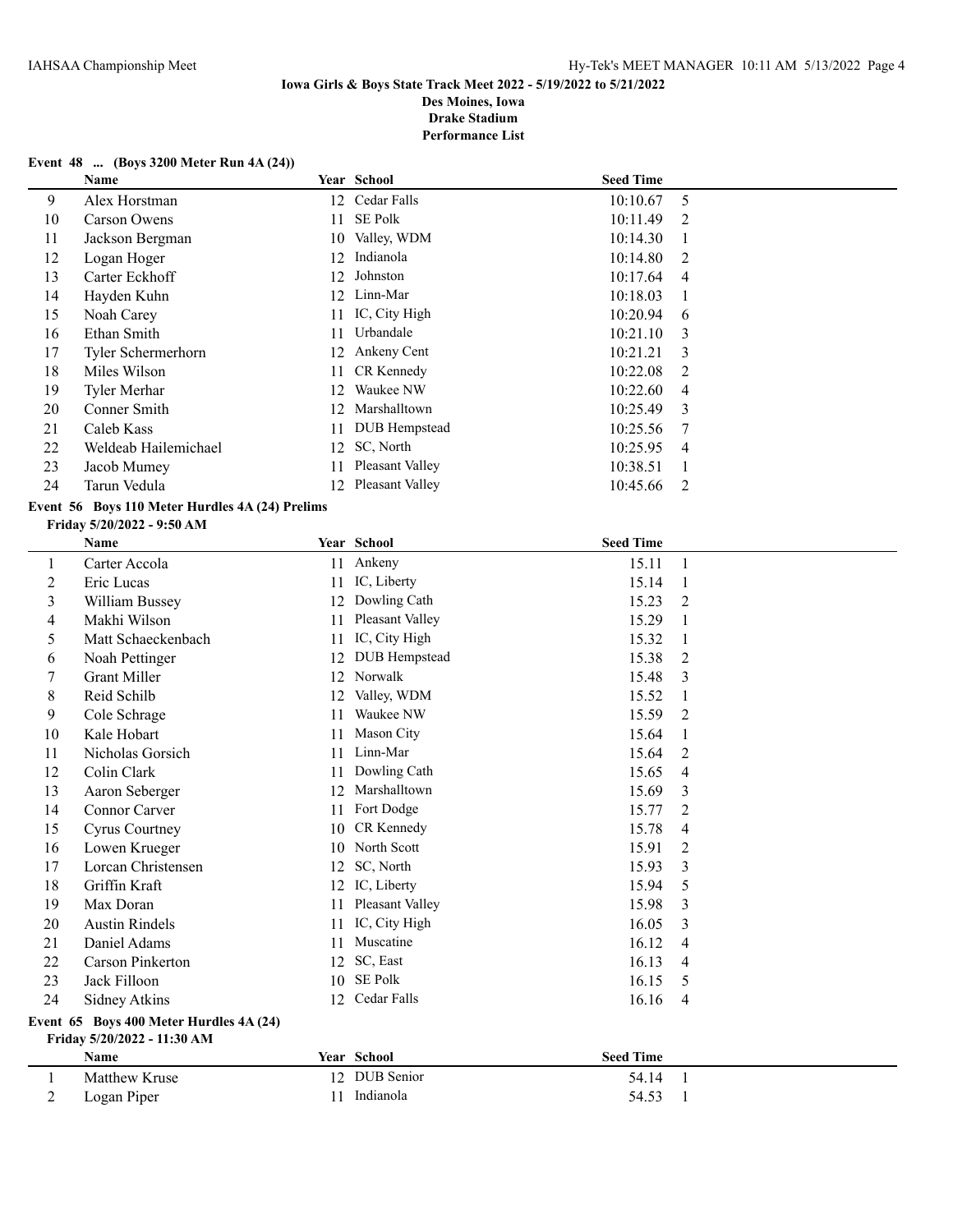**Performance List**

### **Event 48 ... (Boys 3200 Meter Run 4A (24))**

| <b>Name</b>          |     |                 |                                                                                                                 |                  |
|----------------------|-----|-----------------|-----------------------------------------------------------------------------------------------------------------|------------------|
| Alex Horstman        | 12  |                 | 10:10.67                                                                                                        | 5                |
| Carson Owens         | 11  | SE Polk         | 10:11.49                                                                                                        | 2                |
| Jackson Bergman      | 10  | Valley, WDM     | 10:14.30                                                                                                        |                  |
| Logan Hoger          | 12  | Indianola       | 10:14.80                                                                                                        | 2                |
| Carter Eckhoff       | 12. | Johnston        | 10:17.64                                                                                                        | 4                |
| Hayden Kuhn          | 12  | Linn-Mar        | 10:18.03                                                                                                        | -1               |
| Noah Carey           | 11  |                 | 10:20.94                                                                                                        | -6               |
| Ethan Smith          | 11  | Urbandale       | 10:21.10                                                                                                        | 3                |
| Tyler Schermerhorn   |     |                 | 10:21.21                                                                                                        | 3                |
| Miles Wilson         |     |                 | 10:22.08                                                                                                        | 2                |
| Tyler Merhar         | 12  | Waukee NW       | 10:22.60                                                                                                        | 4                |
| Conner Smith         | 12  | Marshalltown    | 10:25.49                                                                                                        | 3                |
| Caleb Kass           | 11  |                 | 10:25.56                                                                                                        | 7                |
| Weldeab Hailemichael |     |                 | 10:25.95                                                                                                        | $\overline{4}$   |
| Jacob Mumey          | 11  | Pleasant Valley | 10:38.51                                                                                                        |                  |
| Tarun Vedula         | 12  | Pleasant Valley | 10:45.66                                                                                                        | 2                |
|                      |     |                 | Year School<br>Cedar Falls<br>IC, City High<br>12 Ankeny Cent<br>11 CR Kennedy<br>DUB Hempstead<br>12 SC, North | <b>Seed Time</b> |

# **Event 56 Boys 110 Meter Hurdles 4A (24) Prelims**

#### **Friday 5/20/2022 - 9:50 AM**

|         | <b>Name</b>                             |    | Year School     | <b>Seed Time</b> |                |
|---------|-----------------------------------------|----|-----------------|------------------|----------------|
| $\perp$ | Carter Accola                           |    | 11 Ankeny       | 15.11            | 1              |
| 2       | Eric Lucas                              | 11 | IC, Liberty     | 15.14            | 1              |
| 3       | William Bussey                          | 12 | Dowling Cath    | 15.23            | 2              |
| 4       | Makhi Wilson                            | 11 | Pleasant Valley | 15.29            | 1              |
| 5       | Matt Schaeckenbach                      | 11 | IC, City High   | 15.32            | 1              |
| 6       | Noah Pettinger                          | 12 | DUB Hempstead   | 15.38            | 2              |
| 7       | <b>Grant Miller</b>                     | 12 | Norwalk         | 15.48            | 3              |
| 8       | Reid Schilb                             | 12 | Valley, WDM     | 15.52            | 1              |
| 9       | Cole Schrage                            | 11 | Waukee NW       | 15.59            | 2              |
| 10      | Kale Hobart                             | 11 | Mason City      | 15.64            | 1              |
| 11      | Nicholas Gorsich                        | 11 | Linn-Mar        | 15.64            | $\overline{2}$ |
| 12      | Colin Clark                             | 11 | Dowling Cath    | 15.65            | $\overline{4}$ |
| 13      | Aaron Seberger                          | 12 | Marshalltown    | 15.69            | 3              |
| 14      | <b>Connor Carver</b>                    | 11 | Fort Dodge      | 15.77            | 2              |
| 15      | Cyrus Courtney                          | 10 | CR Kennedy      | 15.78            | $\overline{4}$ |
| 16      | Lowen Krueger                           | 10 | North Scott     | 15.91            | 2              |
| 17      | Lorcan Christensen                      | 12 | SC, North       | 15.93            | 3              |
| 18      | Griffin Kraft                           | 12 | IC, Liberty     | 15.94            | 5              |
| 19      | Max Doran                               | 11 | Pleasant Valley | 15.98            | 3              |
| 20      | <b>Austin Rindels</b>                   | 11 | IC, City High   | 16.05            | 3              |
| 21      | Daniel Adams                            | 11 | Muscatine       | 16.12            | $\overline{4}$ |
| 22      | <b>Carson Pinkerton</b>                 | 12 | SC, East        | 16.13            | 4              |
| 23      | Jack Filloon                            | 10 | <b>SE Polk</b>  | 16.15            | 5              |
| 24      | Sidney Atkins                           | 12 | Cedar Falls     | 16.16            | $\overline{4}$ |
|         | Event 65 Boys 400 Meter Hurdles 4A (24) |    |                 |                  |                |
|         |                                         |    |                 |                  |                |

**Friday 5/20/2022 - 11:30 AM**

|   | <b>Name</b>   | <b>Year School</b> | Seed Time |  |
|---|---------------|--------------------|-----------|--|
|   | Matthew Kruse | 12 DUB Senior      | 54.14     |  |
| - | Logan Piper   | Indianola          | 54.53     |  |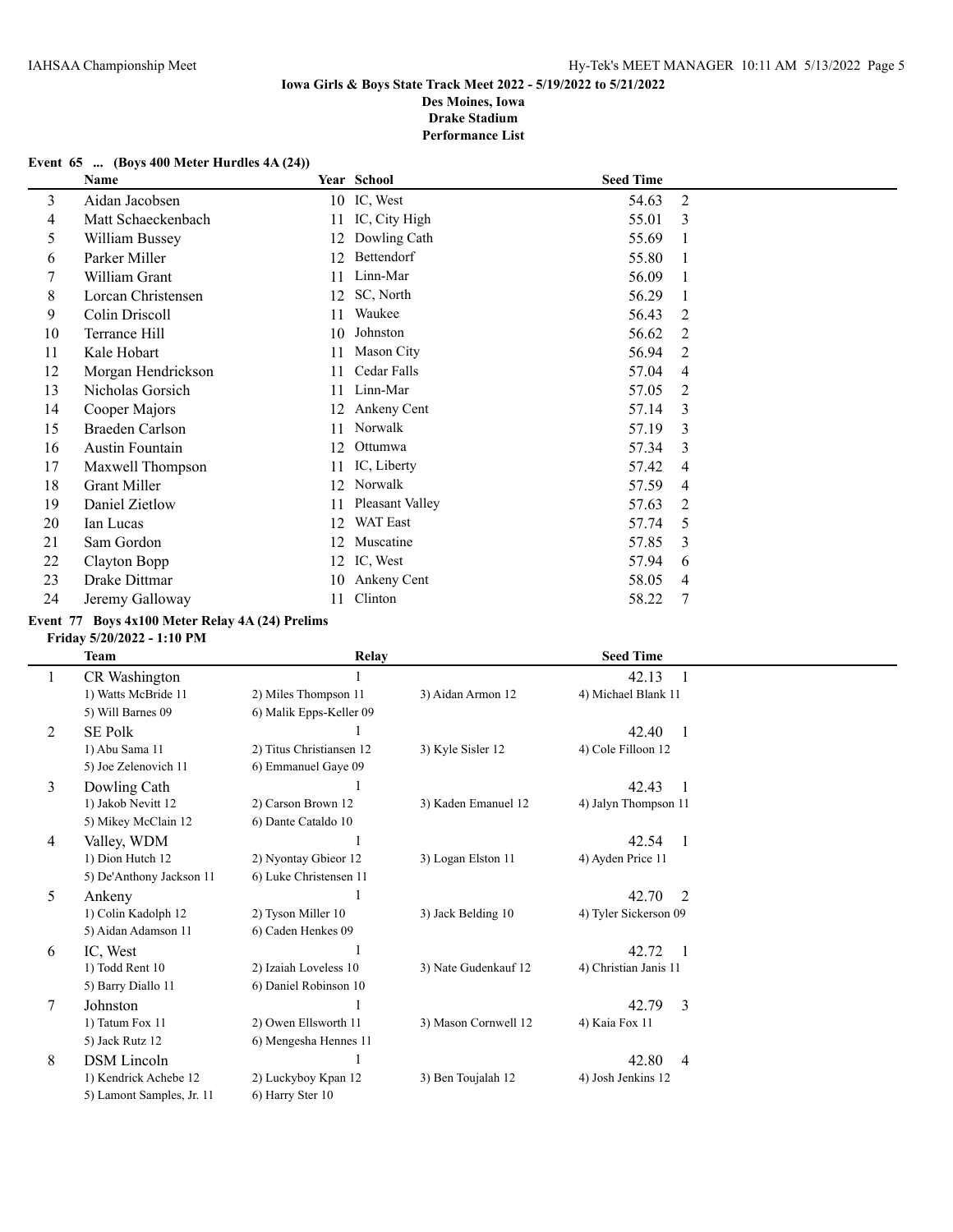## **Event 65 ... (Boys 400 Meter Hurdles 4A (24))**

|    | <b>Name</b>        |    | Year School     | <b>Seed Time</b> |   |
|----|--------------------|----|-----------------|------------------|---|
| 3  | Aidan Jacobsen     |    | 10 IC, West     | 54.63            | 2 |
| 4  | Matt Schaeckenbach | 11 | IC, City High   | 55.01            | 3 |
| 5  | William Bussey     | 12 | Dowling Cath    | 55.69            | 1 |
| 6  | Parker Miller      | 12 | Bettendorf      | 55.80            | 1 |
|    | William Grant      | 11 | Linn-Mar        | 56.09            | 1 |
| 8  | Lorcan Christensen | 12 | SC, North       | 56.29            | 1 |
| 9  | Colin Driscoll     | 11 | Waukee          | 56.43            | 2 |
| 10 | Terrance Hill      | 10 | Johnston        | 56.62            | 2 |
| 11 | Kale Hobart        | 11 | Mason City      | 56.94            | 2 |
| 12 | Morgan Hendrickson | 11 | Cedar Falls     | 57.04            | 4 |
| 13 | Nicholas Gorsich   | 11 | Linn-Mar        | 57.05            | 2 |
| 14 | Cooper Majors      | 12 | Ankeny Cent     | 57.14            | 3 |
| 15 | Braeden Carlson    | 11 | Norwalk         | 57.19            | 3 |
| 16 | Austin Fountain    | 12 | Ottumwa         | 57.34            | 3 |
| 17 | Maxwell Thompson   | 11 | IC, Liberty     | 57.42            | 4 |
| 18 | Grant Miller       | 12 | Norwalk         | 57.59            | 4 |
| 19 | Daniel Zietlow     | 11 | Pleasant Valley | 57.63            | 2 |
| 20 | Ian Lucas          | 12 | <b>WAT East</b> | 57.74            | 5 |
| 21 | Sam Gordon         | 12 | Muscatine       | 57.85            | 3 |
| 22 | Clayton Bopp       | 12 | IC, West        | 57.94            | 6 |
| 23 | Drake Dittmar      | 10 | Ankeny Cent     | 58.05            | 4 |
| 24 | Jeremy Galloway    | 11 | Clinton         | 58.22            | 7 |

# **Event 77 Boys 4x100 Meter Relay 4A (24) Prelims**

### **Friday 5/20/2022 - 1:10 PM**

|   | Team                      | Relay                    |                      | <b>Seed Time</b>        |
|---|---------------------------|--------------------------|----------------------|-------------------------|
| 1 | CR Washington             |                          |                      | 42.13                   |
|   | 1) Watts McBride 11       | 2) Miles Thompson 11     | 3) Aidan Armon 12    | 4) Michael Blank 11     |
|   | 5) Will Barnes 09         | 6) Malik Epps-Keller 09  |                      |                         |
| 2 | <b>SE Polk</b>            |                          |                      | 42.40<br>- 1            |
|   | 1) Abu Sama 11            | 2) Titus Christiansen 12 | 3) Kyle Sisler 12    | 4) Cole Filloon 12      |
|   | 5) Joe Zelenovich 11      | 6) Emmanuel Gaye 09      |                      |                         |
| 3 | Dowling Cath              |                          |                      | 42.43<br>-1             |
|   | 1) Jakob Nevitt 12        | 2) Carson Brown 12       | 3) Kaden Emanuel 12  | 4) Jalyn Thompson 11    |
|   | 5) Mikey McClain 12       | 6) Dante Cataldo 10      |                      |                         |
| 4 | Valley, WDM               |                          |                      | 42.54<br>- 1            |
|   | 1) Dion Hutch 12          | 2) Nyontay Gbieor 12     | 3) Logan Elston 11   | 4) Ayden Price 11       |
|   | 5) De'Anthony Jackson 11  | 6) Luke Christensen 11   |                      |                         |
| 5 | Ankeny                    |                          |                      | 42.70<br>$\overline{2}$ |
|   | 1) Colin Kadolph 12       | 2) Tyson Miller 10       | 3) Jack Belding 10   | 4) Tyler Sickerson 09   |
|   | 5) Aidan Adamson 11       | 6) Caden Henkes 09       |                      |                         |
| 6 | IC, West                  |                          |                      | 42.72<br>- 1            |
|   | 1) Todd Rent 10           | 2) Izaiah Loveless 10    | 3) Nate Gudenkauf 12 | 4) Christian Janis 11   |
|   | 5) Barry Diallo 11        | 6) Daniel Robinson 10    |                      |                         |
| 7 | Johnston                  |                          |                      | 42.79<br>3              |
|   | 1) Tatum Fox 11           | 2) Owen Ellsworth 11     | 3) Mason Cornwell 12 | 4) Kaia Fox 11          |
|   | 5) Jack Rutz 12           | 6) Mengesha Hennes 11    |                      |                         |
| 8 | <b>DSM</b> Lincoln        |                          |                      | 42.80<br>$\overline{4}$ |
|   | 1) Kendrick Achebe 12     | 2) Luckyboy Kpan 12      | 3) Ben Toujalah 12   | 4) Josh Jenkins 12      |
|   | 5) Lamont Samples, Jr. 11 | 6) Harry Ster 10         |                      |                         |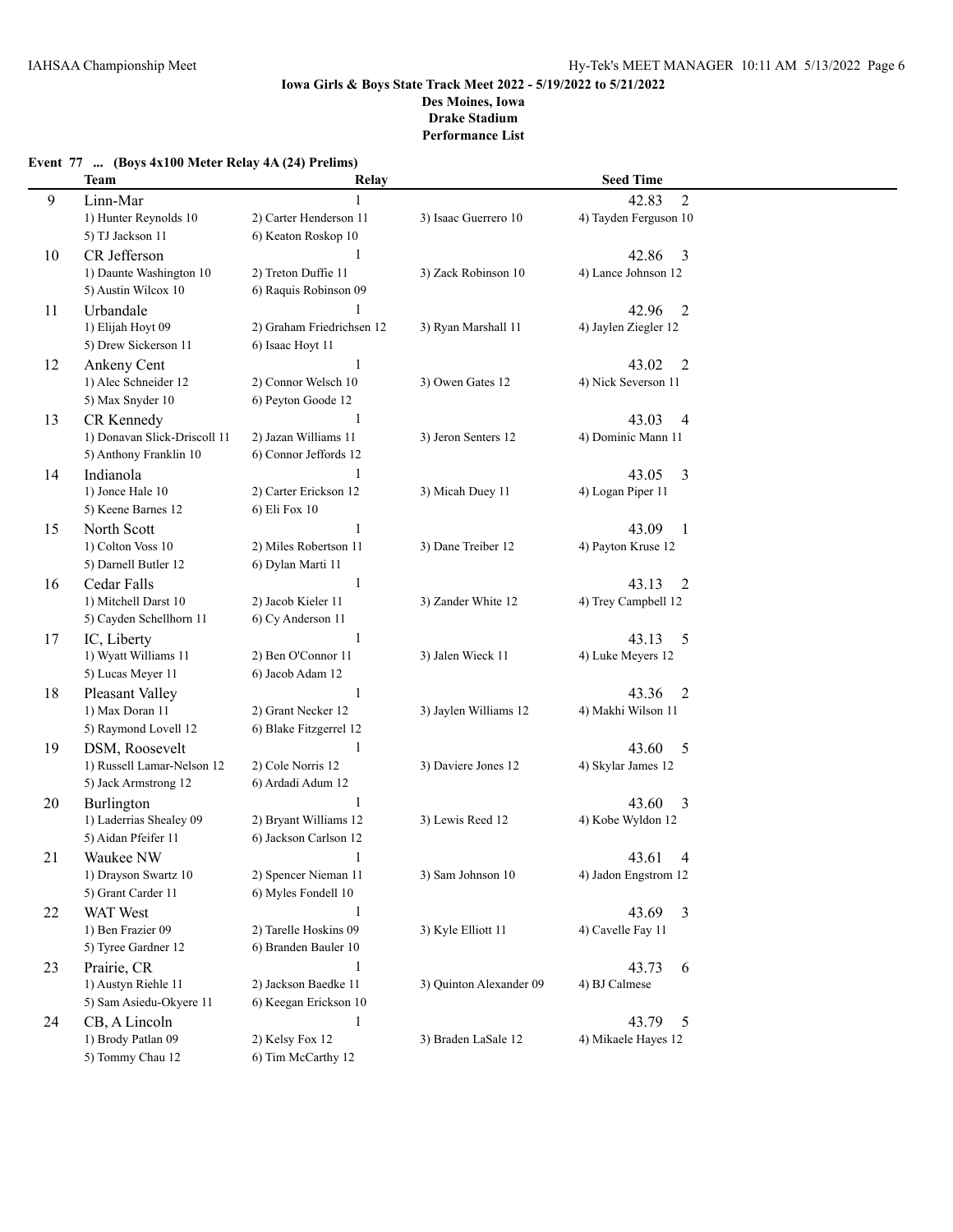|    | <b>Team</b>                  | Relay                     |                         | <b>Seed Time</b>        |  |
|----|------------------------------|---------------------------|-------------------------|-------------------------|--|
| 9  | Linn-Mar                     |                           |                         | $\overline{2}$<br>42.83 |  |
|    | 1) Hunter Reynolds 10        | 2) Carter Henderson 11    | 3) Isaac Guerrero 10    | 4) Tayden Ferguson 10   |  |
|    | 5) TJ Jackson 11             | 6) Keaton Roskop 10       |                         |                         |  |
| 10 | CR Jefferson                 | 1                         |                         | 42.86<br>3              |  |
|    | 1) Daunte Washington 10      | 2) Treton Duffie 11       | 3) Zack Robinson 10     | 4) Lance Johnson 12     |  |
|    | 5) Austin Wilcox 10          | 6) Raquis Robinson 09     |                         |                         |  |
| 11 | Urbandale                    |                           |                         | $\overline{2}$<br>42.96 |  |
|    | 1) Elijah Hoyt 09            | 2) Graham Friedrichsen 12 | 3) Ryan Marshall 11     | 4) Jaylen Ziegler 12    |  |
|    | 5) Drew Sickerson 11         | 6) Isaac Hoyt 11          |                         |                         |  |
| 12 | Ankeny Cent                  | 1                         |                         | 43.02<br>$\overline{2}$ |  |
|    | 1) Alec Schneider 12         | 2) Connor Welsch 10       | 3) Owen Gates 12        | 4) Nick Severson 11     |  |
|    | 5) Max Snyder 10             | 6) Peyton Goode 12        |                         |                         |  |
| 13 | CR Kennedy                   |                           |                         | 43.03<br>4              |  |
|    | 1) Donavan Slick-Driscoll 11 | 2) Jazan Williams 11      | 3) Jeron Senters 12     | 4) Dominic Mann 11      |  |
|    | 5) Anthony Franklin 10       | 6) Connor Jeffords 12     |                         |                         |  |
| 14 | Indianola                    |                           |                         | 43.05<br>3              |  |
|    | 1) Jonce Hale 10             | 2) Carter Erickson 12     | 3) Micah Duey 11        | 4) Logan Piper 11       |  |
|    | 5) Keene Barnes 12           | 6) Eli Fox 10             |                         |                         |  |
| 15 | North Scott                  | 1                         |                         | 43.09<br>1              |  |
|    | 1) Colton Voss 10            | 2) Miles Robertson 11     | 3) Dane Treiber 12      | 4) Payton Kruse 12      |  |
|    | 5) Darnell Butler 12         | 6) Dylan Marti 11         |                         |                         |  |
| 16 | Cedar Falls                  | 1                         |                         | 43.13<br>2              |  |
|    | 1) Mitchell Darst 10         | 2) Jacob Kieler 11        | 3) Zander White 12      | 4) Trey Campbell 12     |  |
|    | 5) Cayden Schellhorn 11      | 6) Cy Anderson 11         |                         |                         |  |
| 17 | IC, Liberty                  | $\mathbf{1}$              |                         | 43.13<br>5              |  |
|    | 1) Wyatt Williams 11         | 2) Ben O'Connor 11        | 3) Jalen Wieck 11       | 4) Luke Meyers 12       |  |
|    | 5) Lucas Meyer 11            | 6) Jacob Adam 12          |                         |                         |  |
| 18 | Pleasant Valley              | $\mathbf{1}$              |                         | 43.36<br>$\overline{2}$ |  |
|    | 1) Max Doran 11              | 2) Grant Necker 12        | 3) Jaylen Williams 12   | 4) Makhi Wilson 11      |  |
|    | 5) Raymond Lovell 12         | 6) Blake Fitzgerrel 12    |                         |                         |  |
| 19 | DSM, Roosevelt               | 1                         |                         | 43.60<br>5              |  |
|    | 1) Russell Lamar-Nelson 12   | 2) Cole Norris 12         | 3) Daviere Jones 12     | 4) Skylar James 12      |  |
|    | 5) Jack Armstrong 12         | 6) Ardadi Adum 12         |                         |                         |  |
| 20 | Burlington                   |                           |                         | 3<br>43.60              |  |
|    | 1) Laderrias Shealey 09      | 2) Bryant Williams 12     | 3) Lewis Reed 12        | 4) Kobe Wyldon 12       |  |
|    | 5) Aidan Pfeifer 11          | 6) Jackson Carlson 12     |                         |                         |  |
| 21 | Waukee NW                    | 1                         |                         | 43.61<br>4              |  |
|    | 1) Drayson Swartz 10         | 2) Spencer Nieman 11      | 3) Sam Johnson 10       | 4) Jadon Engstrom 12    |  |
|    | 5) Grant Carder 11           | 6) Myles Fondell 10       |                         |                         |  |
| 22 | WAT West                     | 1                         |                         | 43.69<br>3              |  |
|    | 1) Ben Frazier 09            | 2) Tarelle Hoskins 09     | 3) Kyle Elliott 11      | 4) Cavelle Fay 11       |  |
|    | 5) Tyree Gardner 12          | 6) Branden Bauler 10      |                         |                         |  |
| 23 | Prairie, CR                  | $\mathbf{1}$              |                         | 43.73<br>6              |  |
|    | 1) Austyn Riehle 11          | 2) Jackson Baedke 11      | 3) Ouinton Alexander 09 | 4) BJ Calmese           |  |
|    | 5) Sam Asiedu-Okyere 11      | 6) Keegan Erickson 10     |                         |                         |  |
| 24 | CB, A Lincoln                | $\mathbf{1}$              |                         | 43.79<br>5              |  |
|    | 1) Brody Patlan 09           | 2) Kelsy Fox 12           | 3) Braden LaSale 12     | 4) Mikaele Hayes 12     |  |
|    | 5) Tommy Chau 12             | 6) Tim McCarthy 12        |                         |                         |  |

# **Event 77 ... (Boys 4x100 Meter Relay 4A (24) Prelims)**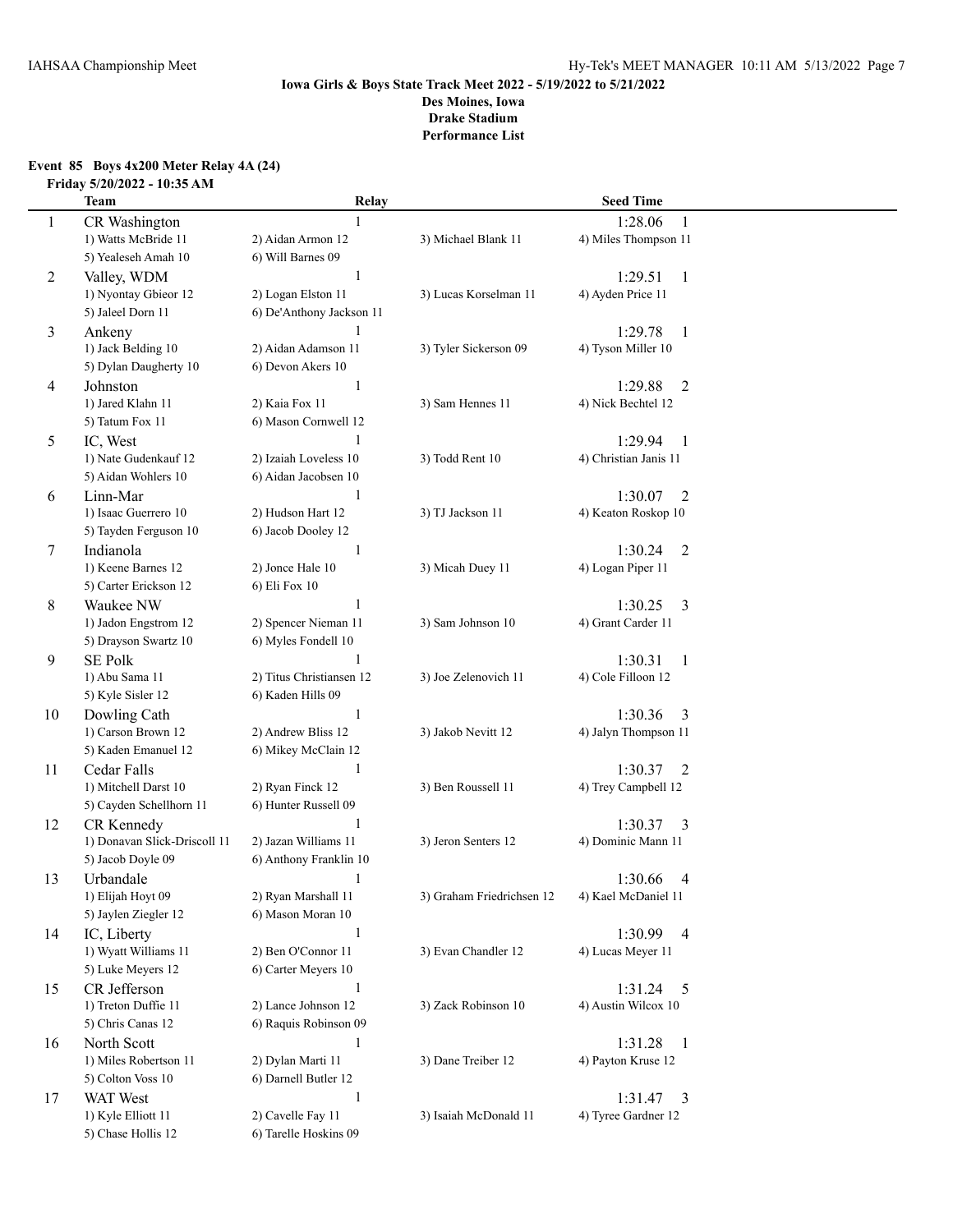### **Event 85 Boys 4x200 Meter Relay 4A (24) Friday 5/20/2022 - 10:35 AM**

| CR Washington<br>1:28.06<br>1<br>1<br>1) Watts McBride 11<br>2) Aidan Armon 12<br>3) Michael Blank 11<br>4) Miles Thompson 11<br>5) Yealeseh Amah 10<br>6) Will Barnes 09<br>2<br>Valley, WDM<br>-1<br>1:29.51<br>1<br>2) Logan Elston 11<br>4) Ayden Price 11<br>1) Nyontay Gbieor 12<br>3) Lucas Korselman 11<br>5) Jaleel Dorn 11<br>6) De'Anthony Jackson 11<br>3<br>Ankeny<br>1:29.78<br>-1<br>2) Aidan Adamson 11<br>1) Jack Belding 10<br>3) Tyler Sickerson 09<br>4) Tyson Miller 10<br>5) Dylan Daugherty 10<br>6) Devon Akers 10<br>$\mathbf{1}$<br>$\overline{2}$<br>Johnston<br>1:29.88<br>4<br>1) Jared Klahn 11<br>2) Kaia Fox 11<br>3) Sam Hennes 11<br>4) Nick Bechtel 12<br>5) Tatum Fox 11<br>6) Mason Cornwell 12<br>5<br>IC, West<br>1<br>1:29.94<br>1<br>1) Nate Gudenkauf 12<br>2) Izaiah Loveless 10<br>3) Todd Rent 10<br>4) Christian Janis 11<br>5) Aidan Wohlers 10<br>6) Aidan Jacobsen 10<br>Linn-Mar<br>$\mathbf{1}$<br>1:30.07<br>$\overline{2}$<br>6<br>1) Isaac Guerrero 10<br>2) Hudson Hart 12<br>3) TJ Jackson 11<br>4) Keaton Roskop 10<br>5) Tayden Ferguson 10<br>6) Jacob Dooley 12<br>Indianola<br>1:30.24<br>$\overline{2}$<br>7<br>1<br>1) Keene Barnes 12<br>2) Jonce Hale 10<br>3) Micah Duey 11<br>4) Logan Piper 11<br>5) Carter Erickson 12<br>6) Eli Fox 10<br>8<br>Waukee NW<br>1<br>1:30.25<br>3<br>1) Jadon Engstrom 12<br>4) Grant Carder 11<br>2) Spencer Nieman 11<br>3) Sam Johnson 10<br>5) Drayson Swartz 10<br>6) Myles Fondell 10<br>SE Polk<br>1:30.31<br>9<br>$\mathbf{1}$<br>2) Titus Christiansen 12<br>1) Abu Sama 11<br>3) Joe Zelenovich 11<br>4) Cole Filloon 12<br>5) Kyle Sisler 12<br>6) Kaden Hills 09<br>1<br>1:30.36<br>10<br>Dowling Cath<br>3<br>1) Carson Brown 12<br>2) Andrew Bliss 12<br>3) Jakob Nevitt 12<br>4) Jalyn Thompson 11<br>5) Kaden Emanuel 12<br>6) Mikey McClain 12<br>$\mathbf{1}$<br>1:30.37<br>Cedar Falls<br>2<br>11<br>3) Ben Roussell 11<br>1) Mitchell Darst 10<br>2) Ryan Finck 12<br>4) Trey Campbell 12<br>5) Cayden Schellhorn 11<br>6) Hunter Russell 09<br>$\mathbf{1}$<br>1:30.37<br>CR Kennedy<br>3<br>12<br>1) Donavan Slick-Driscoll 11<br>2) Jazan Williams 11<br>3) Jeron Senters 12<br>4) Dominic Mann 11<br>5) Jacob Doyle 09<br>6) Anthony Franklin 10<br>Urbandale<br>13<br>$\mathbf{1}$<br>1:30.66<br>$\overline{4}$ |  |
|--------------------------------------------------------------------------------------------------------------------------------------------------------------------------------------------------------------------------------------------------------------------------------------------------------------------------------------------------------------------------------------------------------------------------------------------------------------------------------------------------------------------------------------------------------------------------------------------------------------------------------------------------------------------------------------------------------------------------------------------------------------------------------------------------------------------------------------------------------------------------------------------------------------------------------------------------------------------------------------------------------------------------------------------------------------------------------------------------------------------------------------------------------------------------------------------------------------------------------------------------------------------------------------------------------------------------------------------------------------------------------------------------------------------------------------------------------------------------------------------------------------------------------------------------------------------------------------------------------------------------------------------------------------------------------------------------------------------------------------------------------------------------------------------------------------------------------------------------------------------------------------------------------------------------------------------------------------------------------------------------------------------------------------------------------------------------------------------------------------------------------------------------------------------------------------------------------------------------------------------------------------------------------------------------------------------------------------------|--|
|                                                                                                                                                                                                                                                                                                                                                                                                                                                                                                                                                                                                                                                                                                                                                                                                                                                                                                                                                                                                                                                                                                                                                                                                                                                                                                                                                                                                                                                                                                                                                                                                                                                                                                                                                                                                                                                                                                                                                                                                                                                                                                                                                                                                                                                                                                                                            |  |
|                                                                                                                                                                                                                                                                                                                                                                                                                                                                                                                                                                                                                                                                                                                                                                                                                                                                                                                                                                                                                                                                                                                                                                                                                                                                                                                                                                                                                                                                                                                                                                                                                                                                                                                                                                                                                                                                                                                                                                                                                                                                                                                                                                                                                                                                                                                                            |  |
|                                                                                                                                                                                                                                                                                                                                                                                                                                                                                                                                                                                                                                                                                                                                                                                                                                                                                                                                                                                                                                                                                                                                                                                                                                                                                                                                                                                                                                                                                                                                                                                                                                                                                                                                                                                                                                                                                                                                                                                                                                                                                                                                                                                                                                                                                                                                            |  |
|                                                                                                                                                                                                                                                                                                                                                                                                                                                                                                                                                                                                                                                                                                                                                                                                                                                                                                                                                                                                                                                                                                                                                                                                                                                                                                                                                                                                                                                                                                                                                                                                                                                                                                                                                                                                                                                                                                                                                                                                                                                                                                                                                                                                                                                                                                                                            |  |
|                                                                                                                                                                                                                                                                                                                                                                                                                                                                                                                                                                                                                                                                                                                                                                                                                                                                                                                                                                                                                                                                                                                                                                                                                                                                                                                                                                                                                                                                                                                                                                                                                                                                                                                                                                                                                                                                                                                                                                                                                                                                                                                                                                                                                                                                                                                                            |  |
|                                                                                                                                                                                                                                                                                                                                                                                                                                                                                                                                                                                                                                                                                                                                                                                                                                                                                                                                                                                                                                                                                                                                                                                                                                                                                                                                                                                                                                                                                                                                                                                                                                                                                                                                                                                                                                                                                                                                                                                                                                                                                                                                                                                                                                                                                                                                            |  |
|                                                                                                                                                                                                                                                                                                                                                                                                                                                                                                                                                                                                                                                                                                                                                                                                                                                                                                                                                                                                                                                                                                                                                                                                                                                                                                                                                                                                                                                                                                                                                                                                                                                                                                                                                                                                                                                                                                                                                                                                                                                                                                                                                                                                                                                                                                                                            |  |
|                                                                                                                                                                                                                                                                                                                                                                                                                                                                                                                                                                                                                                                                                                                                                                                                                                                                                                                                                                                                                                                                                                                                                                                                                                                                                                                                                                                                                                                                                                                                                                                                                                                                                                                                                                                                                                                                                                                                                                                                                                                                                                                                                                                                                                                                                                                                            |  |
|                                                                                                                                                                                                                                                                                                                                                                                                                                                                                                                                                                                                                                                                                                                                                                                                                                                                                                                                                                                                                                                                                                                                                                                                                                                                                                                                                                                                                                                                                                                                                                                                                                                                                                                                                                                                                                                                                                                                                                                                                                                                                                                                                                                                                                                                                                                                            |  |
|                                                                                                                                                                                                                                                                                                                                                                                                                                                                                                                                                                                                                                                                                                                                                                                                                                                                                                                                                                                                                                                                                                                                                                                                                                                                                                                                                                                                                                                                                                                                                                                                                                                                                                                                                                                                                                                                                                                                                                                                                                                                                                                                                                                                                                                                                                                                            |  |
|                                                                                                                                                                                                                                                                                                                                                                                                                                                                                                                                                                                                                                                                                                                                                                                                                                                                                                                                                                                                                                                                                                                                                                                                                                                                                                                                                                                                                                                                                                                                                                                                                                                                                                                                                                                                                                                                                                                                                                                                                                                                                                                                                                                                                                                                                                                                            |  |
|                                                                                                                                                                                                                                                                                                                                                                                                                                                                                                                                                                                                                                                                                                                                                                                                                                                                                                                                                                                                                                                                                                                                                                                                                                                                                                                                                                                                                                                                                                                                                                                                                                                                                                                                                                                                                                                                                                                                                                                                                                                                                                                                                                                                                                                                                                                                            |  |
|                                                                                                                                                                                                                                                                                                                                                                                                                                                                                                                                                                                                                                                                                                                                                                                                                                                                                                                                                                                                                                                                                                                                                                                                                                                                                                                                                                                                                                                                                                                                                                                                                                                                                                                                                                                                                                                                                                                                                                                                                                                                                                                                                                                                                                                                                                                                            |  |
|                                                                                                                                                                                                                                                                                                                                                                                                                                                                                                                                                                                                                                                                                                                                                                                                                                                                                                                                                                                                                                                                                                                                                                                                                                                                                                                                                                                                                                                                                                                                                                                                                                                                                                                                                                                                                                                                                                                                                                                                                                                                                                                                                                                                                                                                                                                                            |  |
|                                                                                                                                                                                                                                                                                                                                                                                                                                                                                                                                                                                                                                                                                                                                                                                                                                                                                                                                                                                                                                                                                                                                                                                                                                                                                                                                                                                                                                                                                                                                                                                                                                                                                                                                                                                                                                                                                                                                                                                                                                                                                                                                                                                                                                                                                                                                            |  |
|                                                                                                                                                                                                                                                                                                                                                                                                                                                                                                                                                                                                                                                                                                                                                                                                                                                                                                                                                                                                                                                                                                                                                                                                                                                                                                                                                                                                                                                                                                                                                                                                                                                                                                                                                                                                                                                                                                                                                                                                                                                                                                                                                                                                                                                                                                                                            |  |
|                                                                                                                                                                                                                                                                                                                                                                                                                                                                                                                                                                                                                                                                                                                                                                                                                                                                                                                                                                                                                                                                                                                                                                                                                                                                                                                                                                                                                                                                                                                                                                                                                                                                                                                                                                                                                                                                                                                                                                                                                                                                                                                                                                                                                                                                                                                                            |  |
|                                                                                                                                                                                                                                                                                                                                                                                                                                                                                                                                                                                                                                                                                                                                                                                                                                                                                                                                                                                                                                                                                                                                                                                                                                                                                                                                                                                                                                                                                                                                                                                                                                                                                                                                                                                                                                                                                                                                                                                                                                                                                                                                                                                                                                                                                                                                            |  |
|                                                                                                                                                                                                                                                                                                                                                                                                                                                                                                                                                                                                                                                                                                                                                                                                                                                                                                                                                                                                                                                                                                                                                                                                                                                                                                                                                                                                                                                                                                                                                                                                                                                                                                                                                                                                                                                                                                                                                                                                                                                                                                                                                                                                                                                                                                                                            |  |
|                                                                                                                                                                                                                                                                                                                                                                                                                                                                                                                                                                                                                                                                                                                                                                                                                                                                                                                                                                                                                                                                                                                                                                                                                                                                                                                                                                                                                                                                                                                                                                                                                                                                                                                                                                                                                                                                                                                                                                                                                                                                                                                                                                                                                                                                                                                                            |  |
|                                                                                                                                                                                                                                                                                                                                                                                                                                                                                                                                                                                                                                                                                                                                                                                                                                                                                                                                                                                                                                                                                                                                                                                                                                                                                                                                                                                                                                                                                                                                                                                                                                                                                                                                                                                                                                                                                                                                                                                                                                                                                                                                                                                                                                                                                                                                            |  |
|                                                                                                                                                                                                                                                                                                                                                                                                                                                                                                                                                                                                                                                                                                                                                                                                                                                                                                                                                                                                                                                                                                                                                                                                                                                                                                                                                                                                                                                                                                                                                                                                                                                                                                                                                                                                                                                                                                                                                                                                                                                                                                                                                                                                                                                                                                                                            |  |
|                                                                                                                                                                                                                                                                                                                                                                                                                                                                                                                                                                                                                                                                                                                                                                                                                                                                                                                                                                                                                                                                                                                                                                                                                                                                                                                                                                                                                                                                                                                                                                                                                                                                                                                                                                                                                                                                                                                                                                                                                                                                                                                                                                                                                                                                                                                                            |  |
|                                                                                                                                                                                                                                                                                                                                                                                                                                                                                                                                                                                                                                                                                                                                                                                                                                                                                                                                                                                                                                                                                                                                                                                                                                                                                                                                                                                                                                                                                                                                                                                                                                                                                                                                                                                                                                                                                                                                                                                                                                                                                                                                                                                                                                                                                                                                            |  |
|                                                                                                                                                                                                                                                                                                                                                                                                                                                                                                                                                                                                                                                                                                                                                                                                                                                                                                                                                                                                                                                                                                                                                                                                                                                                                                                                                                                                                                                                                                                                                                                                                                                                                                                                                                                                                                                                                                                                                                                                                                                                                                                                                                                                                                                                                                                                            |  |
|                                                                                                                                                                                                                                                                                                                                                                                                                                                                                                                                                                                                                                                                                                                                                                                                                                                                                                                                                                                                                                                                                                                                                                                                                                                                                                                                                                                                                                                                                                                                                                                                                                                                                                                                                                                                                                                                                                                                                                                                                                                                                                                                                                                                                                                                                                                                            |  |
|                                                                                                                                                                                                                                                                                                                                                                                                                                                                                                                                                                                                                                                                                                                                                                                                                                                                                                                                                                                                                                                                                                                                                                                                                                                                                                                                                                                                                                                                                                                                                                                                                                                                                                                                                                                                                                                                                                                                                                                                                                                                                                                                                                                                                                                                                                                                            |  |
|                                                                                                                                                                                                                                                                                                                                                                                                                                                                                                                                                                                                                                                                                                                                                                                                                                                                                                                                                                                                                                                                                                                                                                                                                                                                                                                                                                                                                                                                                                                                                                                                                                                                                                                                                                                                                                                                                                                                                                                                                                                                                                                                                                                                                                                                                                                                            |  |
|                                                                                                                                                                                                                                                                                                                                                                                                                                                                                                                                                                                                                                                                                                                                                                                                                                                                                                                                                                                                                                                                                                                                                                                                                                                                                                                                                                                                                                                                                                                                                                                                                                                                                                                                                                                                                                                                                                                                                                                                                                                                                                                                                                                                                                                                                                                                            |  |
|                                                                                                                                                                                                                                                                                                                                                                                                                                                                                                                                                                                                                                                                                                                                                                                                                                                                                                                                                                                                                                                                                                                                                                                                                                                                                                                                                                                                                                                                                                                                                                                                                                                                                                                                                                                                                                                                                                                                                                                                                                                                                                                                                                                                                                                                                                                                            |  |
|                                                                                                                                                                                                                                                                                                                                                                                                                                                                                                                                                                                                                                                                                                                                                                                                                                                                                                                                                                                                                                                                                                                                                                                                                                                                                                                                                                                                                                                                                                                                                                                                                                                                                                                                                                                                                                                                                                                                                                                                                                                                                                                                                                                                                                                                                                                                            |  |
|                                                                                                                                                                                                                                                                                                                                                                                                                                                                                                                                                                                                                                                                                                                                                                                                                                                                                                                                                                                                                                                                                                                                                                                                                                                                                                                                                                                                                                                                                                                                                                                                                                                                                                                                                                                                                                                                                                                                                                                                                                                                                                                                                                                                                                                                                                                                            |  |
|                                                                                                                                                                                                                                                                                                                                                                                                                                                                                                                                                                                                                                                                                                                                                                                                                                                                                                                                                                                                                                                                                                                                                                                                                                                                                                                                                                                                                                                                                                                                                                                                                                                                                                                                                                                                                                                                                                                                                                                                                                                                                                                                                                                                                                                                                                                                            |  |
|                                                                                                                                                                                                                                                                                                                                                                                                                                                                                                                                                                                                                                                                                                                                                                                                                                                                                                                                                                                                                                                                                                                                                                                                                                                                                                                                                                                                                                                                                                                                                                                                                                                                                                                                                                                                                                                                                                                                                                                                                                                                                                                                                                                                                                                                                                                                            |  |
|                                                                                                                                                                                                                                                                                                                                                                                                                                                                                                                                                                                                                                                                                                                                                                                                                                                                                                                                                                                                                                                                                                                                                                                                                                                                                                                                                                                                                                                                                                                                                                                                                                                                                                                                                                                                                                                                                                                                                                                                                                                                                                                                                                                                                                                                                                                                            |  |
|                                                                                                                                                                                                                                                                                                                                                                                                                                                                                                                                                                                                                                                                                                                                                                                                                                                                                                                                                                                                                                                                                                                                                                                                                                                                                                                                                                                                                                                                                                                                                                                                                                                                                                                                                                                                                                                                                                                                                                                                                                                                                                                                                                                                                                                                                                                                            |  |
|                                                                                                                                                                                                                                                                                                                                                                                                                                                                                                                                                                                                                                                                                                                                                                                                                                                                                                                                                                                                                                                                                                                                                                                                                                                                                                                                                                                                                                                                                                                                                                                                                                                                                                                                                                                                                                                                                                                                                                                                                                                                                                                                                                                                                                                                                                                                            |  |
| 1) Elijah Hoyt 09<br>2) Ryan Marshall 11<br>3) Graham Friedrichsen 12<br>4) Kael McDaniel 11<br>5) Jaylen Ziegler 12<br>6) Mason Moran 10                                                                                                                                                                                                                                                                                                                                                                                                                                                                                                                                                                                                                                                                                                                                                                                                                                                                                                                                                                                                                                                                                                                                                                                                                                                                                                                                                                                                                                                                                                                                                                                                                                                                                                                                                                                                                                                                                                                                                                                                                                                                                                                                                                                                  |  |
|                                                                                                                                                                                                                                                                                                                                                                                                                                                                                                                                                                                                                                                                                                                                                                                                                                                                                                                                                                                                                                                                                                                                                                                                                                                                                                                                                                                                                                                                                                                                                                                                                                                                                                                                                                                                                                                                                                                                                                                                                                                                                                                                                                                                                                                                                                                                            |  |
| 1:30.99<br>14<br>IC, Liberty<br>$\mathbf{1}$<br>$\overline{4}$<br>1) Wyatt Williams 11<br>2) Ben O'Connor 11<br>3) Evan Chandler 12<br>4) Lucas Meyer 11                                                                                                                                                                                                                                                                                                                                                                                                                                                                                                                                                                                                                                                                                                                                                                                                                                                                                                                                                                                                                                                                                                                                                                                                                                                                                                                                                                                                                                                                                                                                                                                                                                                                                                                                                                                                                                                                                                                                                                                                                                                                                                                                                                                   |  |
| 5) Luke Meyers 12<br>6) Carter Meyers 10                                                                                                                                                                                                                                                                                                                                                                                                                                                                                                                                                                                                                                                                                                                                                                                                                                                                                                                                                                                                                                                                                                                                                                                                                                                                                                                                                                                                                                                                                                                                                                                                                                                                                                                                                                                                                                                                                                                                                                                                                                                                                                                                                                                                                                                                                                   |  |
| CR Jefferson<br>$\mathbf{1}$                                                                                                                                                                                                                                                                                                                                                                                                                                                                                                                                                                                                                                                                                                                                                                                                                                                                                                                                                                                                                                                                                                                                                                                                                                                                                                                                                                                                                                                                                                                                                                                                                                                                                                                                                                                                                                                                                                                                                                                                                                                                                                                                                                                                                                                                                                               |  |
| 15<br>1:31.24<br>5<br>1) Treton Duffie 11<br>2) Lance Johnson 12<br>3) Zack Robinson 10<br>4) Austin Wilcox 10                                                                                                                                                                                                                                                                                                                                                                                                                                                                                                                                                                                                                                                                                                                                                                                                                                                                                                                                                                                                                                                                                                                                                                                                                                                                                                                                                                                                                                                                                                                                                                                                                                                                                                                                                                                                                                                                                                                                                                                                                                                                                                                                                                                                                             |  |
| 5) Chris Canas 12<br>6) Raquis Robinson 09                                                                                                                                                                                                                                                                                                                                                                                                                                                                                                                                                                                                                                                                                                                                                                                                                                                                                                                                                                                                                                                                                                                                                                                                                                                                                                                                                                                                                                                                                                                                                                                                                                                                                                                                                                                                                                                                                                                                                                                                                                                                                                                                                                                                                                                                                                 |  |
| North Scott<br>1:31.28<br>16<br>1<br>$\overline{1}$                                                                                                                                                                                                                                                                                                                                                                                                                                                                                                                                                                                                                                                                                                                                                                                                                                                                                                                                                                                                                                                                                                                                                                                                                                                                                                                                                                                                                                                                                                                                                                                                                                                                                                                                                                                                                                                                                                                                                                                                                                                                                                                                                                                                                                                                                        |  |
| 1) Miles Robertson 11<br>2) Dylan Marti 11<br>3) Dane Treiber 12<br>4) Payton Kruse 12                                                                                                                                                                                                                                                                                                                                                                                                                                                                                                                                                                                                                                                                                                                                                                                                                                                                                                                                                                                                                                                                                                                                                                                                                                                                                                                                                                                                                                                                                                                                                                                                                                                                                                                                                                                                                                                                                                                                                                                                                                                                                                                                                                                                                                                     |  |
| 5) Colton Voss 10<br>6) Darnell Butler 12                                                                                                                                                                                                                                                                                                                                                                                                                                                                                                                                                                                                                                                                                                                                                                                                                                                                                                                                                                                                                                                                                                                                                                                                                                                                                                                                                                                                                                                                                                                                                                                                                                                                                                                                                                                                                                                                                                                                                                                                                                                                                                                                                                                                                                                                                                  |  |
| WAT West<br>$\mathbf{1}$<br>17<br>1:31.47<br>$\overline{3}$                                                                                                                                                                                                                                                                                                                                                                                                                                                                                                                                                                                                                                                                                                                                                                                                                                                                                                                                                                                                                                                                                                                                                                                                                                                                                                                                                                                                                                                                                                                                                                                                                                                                                                                                                                                                                                                                                                                                                                                                                                                                                                                                                                                                                                                                                |  |
| 2) Cavelle Fay 11<br>1) Kyle Elliott 11<br>3) Isaiah McDonald 11<br>4) Tyree Gardner 12                                                                                                                                                                                                                                                                                                                                                                                                                                                                                                                                                                                                                                                                                                                                                                                                                                                                                                                                                                                                                                                                                                                                                                                                                                                                                                                                                                                                                                                                                                                                                                                                                                                                                                                                                                                                                                                                                                                                                                                                                                                                                                                                                                                                                                                    |  |
| 5) Chase Hollis 12<br>6) Tarelle Hoskins 09                                                                                                                                                                                                                                                                                                                                                                                                                                                                                                                                                                                                                                                                                                                                                                                                                                                                                                                                                                                                                                                                                                                                                                                                                                                                                                                                                                                                                                                                                                                                                                                                                                                                                                                                                                                                                                                                                                                                                                                                                                                                                                                                                                                                                                                                                                |  |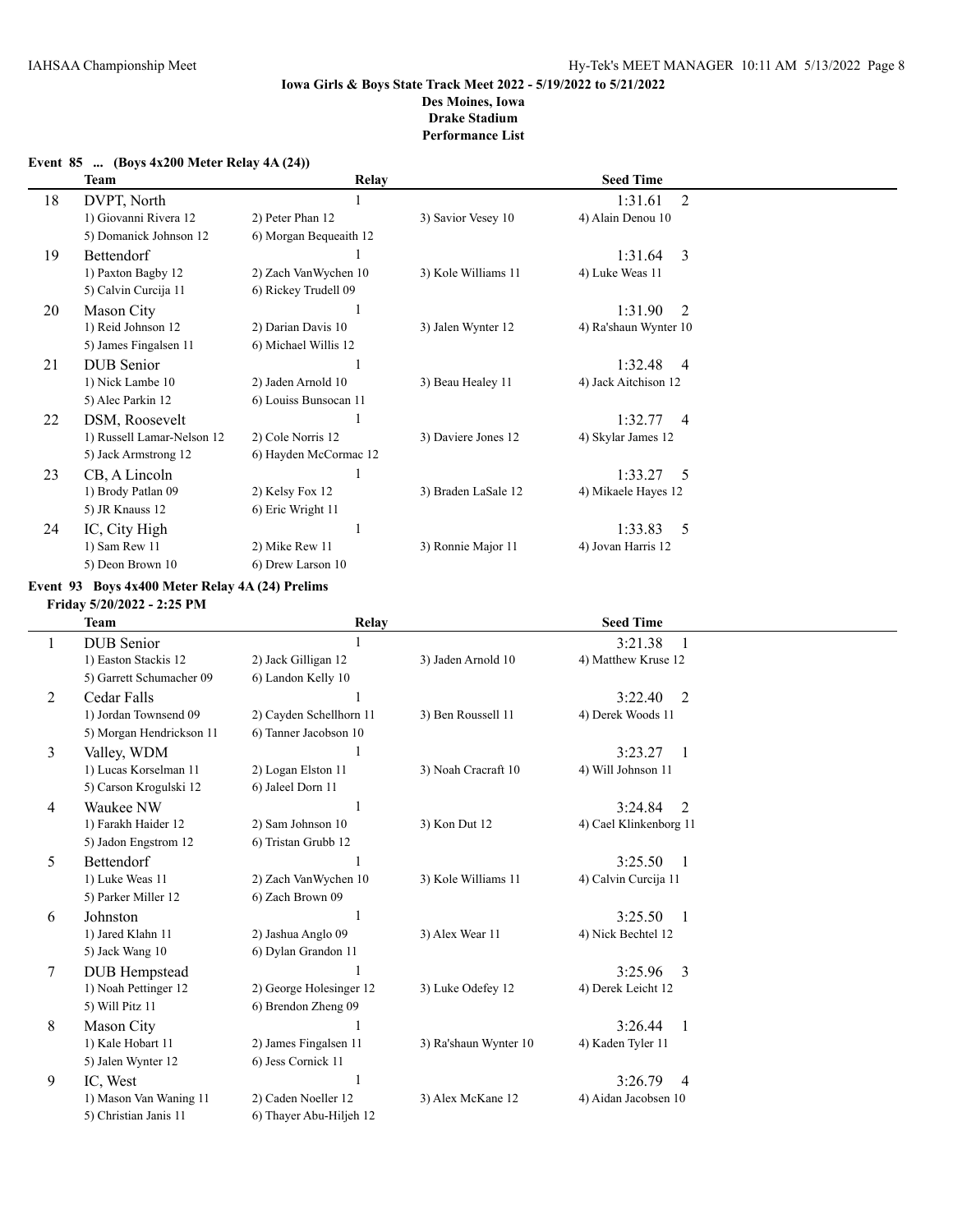# **Team Relay Relay Relay Seed Time** 18 DVPT, North 1 1:31.61 2 1) Giovanni Rivera 12 2) Peter Phan 12 3) Savior Vesey 10 4) Alain Denou 10 5) Domanick Johnson 12 6) Morgan Bequeaith 12 19 Bettendorf 1 1:31.64 3 1) Paxton Bagby 12 2) Zach VanWychen 10 3) Kole Williams 11 4) Luke Weas 11 5) Calvin Curcija 11 6) Rickey Trudell 09 20 Mason City 1<br>1:31.90 2 1) Reid Johnson 12 2) Darian Davis 10 3) Jalen Wynter 12 4) Ra'shaun Wynter 10 1) Reid Johnson 12 2) Darian Davis 10 3) Jalen Wynter 12 4) Ra'shaun Wynter 10 5) James Fingalsen 11 6) Michael Willis 12 21 DUB Senior 1 1:32.48 4 1) Nick Lambe 10 2) Jaden Arnold 10 3) Beau Healey 11 4) Jack Aitchison 12 5) Alec Parkin 12 6) Louiss Bunsocan 11 22 DSM, Roosevelt 1<br>1:32.77 4<br>1) Russell Lamar-Nelson 12 2) Cole Norris 12 3) Daviere Jones 12 4) Skylar James 12 1) Russell Lamar-Nelson 12 2) Cole Norris 12 3) Daviere Jones 12 4) Skylar James 12 5) Jack Armstrong 12 6) Hayden McCormac 12 23 CB, A Lincoln 1 1:33.27 5 1) Brody Patlan 09 2) Kelsy Fox 12 3) Braden LaSale 12 4) Mikaele Hayes 12 5) JR Knauss 12 6) Eric Wright 11 24 IC, City High 1 233.83 5 1) Sam Rew 11 2) Mike Rew 11 3) Ronnie Major 11 4) Jovan Harris 12 5) Deon Brown 10 6) Drew Larson 10

#### **Event 85 ... (Boys 4x200 Meter Relay 4A (24))**

**Event 93 Boys 4x400 Meter Relay 4A (24) Prelims**

**Friday 5/20/2022 - 2:25 PM**

|   | <b>Team</b>              | Relay                   |                       | <b>Seed Time</b>          |  |
|---|--------------------------|-------------------------|-----------------------|---------------------------|--|
|   | <b>DUB</b> Senior        |                         |                       | 3:21.38                   |  |
|   | 1) Easton Stackis 12     | 2) Jack Gilligan 12     | 3) Jaden Arnold 10    | 4) Matthew Kruse 12       |  |
|   | 5) Garrett Schumacher 09 | 6) Landon Kelly 10      |                       |                           |  |
| 2 | Cedar Falls              |                         |                       | 3:22.40<br>2              |  |
|   | 1) Jordan Townsend 09    | 2) Cayden Schellhorn 11 | 3) Ben Roussell 11    | 4) Derek Woods 11         |  |
|   | 5) Morgan Hendrickson 11 | 6) Tanner Jacobson 10   |                       |                           |  |
| 3 | Valley, WDM              |                         |                       | 3:23.27<br>-1             |  |
|   | 1) Lucas Korselman 11    | 2) Logan Elston 11      | 3) Noah Cracraft 10   | 4) Will Johnson 11        |  |
|   | 5) Carson Krogulski 12   | 6) Jaleel Dorn 11       |                       |                           |  |
| 4 | Waukee NW                |                         |                       | 3:24.84<br>2              |  |
|   | 1) Farakh Haider 12      | 2) Sam Johnson 10       | 3) Kon Dut 12         | 4) Cael Klinkenborg 11    |  |
|   | 5) Jadon Engstrom 12     | 6) Tristan Grubb 12     |                       |                           |  |
| 5 | <b>Bettendorf</b>        |                         |                       | 3:25.50<br>$\mathbf{1}$   |  |
|   | 1) Luke Weas 11          | 2) Zach VanWychen 10    | 3) Kole Williams 11   | 4) Calvin Curcija 11      |  |
|   | 5) Parker Miller 12      | 6) Zach Brown 09        |                       |                           |  |
| 6 | Johnston                 |                         |                       | 3:25.50<br>$\overline{1}$ |  |
|   | 1) Jared Klahn 11        | 2) Jashua Anglo 09      | 3) Alex Wear 11       | 4) Nick Bechtel 12        |  |
|   | 5) Jack Wang 10          | 6) Dylan Grandon 11     |                       |                           |  |
| 7 | <b>DUB</b> Hempstead     |                         |                       | 3:25.96<br>3              |  |
|   | 1) Noah Pettinger 12     | 2) George Holesinger 12 | 3) Luke Odefey 12     | 4) Derek Leicht 12        |  |
|   | 5) Will Pitz 11          | 6) Brendon Zheng 09     |                       |                           |  |
| 8 | <b>Mason City</b>        |                         |                       | 3:26.44<br>$\overline{1}$ |  |
|   | 1) Kale Hobart 11        | 2) James Fingalsen 11   | 3) Ra'shaun Wynter 10 | 4) Kaden Tyler 11         |  |
|   | 5) Jalen Wynter 12       | 6) Jess Cornick 11      |                       |                           |  |
| 9 | IC. West                 |                         |                       | 3:26.79<br>$\overline{4}$ |  |
|   | 1) Mason Van Waning 11   | 2) Caden Noeller 12     | 3) Alex McKane 12     | 4) Aidan Jacobsen 10      |  |
|   | 5) Christian Janis 11    | 6) Thayer Abu-Hiljeh 12 |                       |                           |  |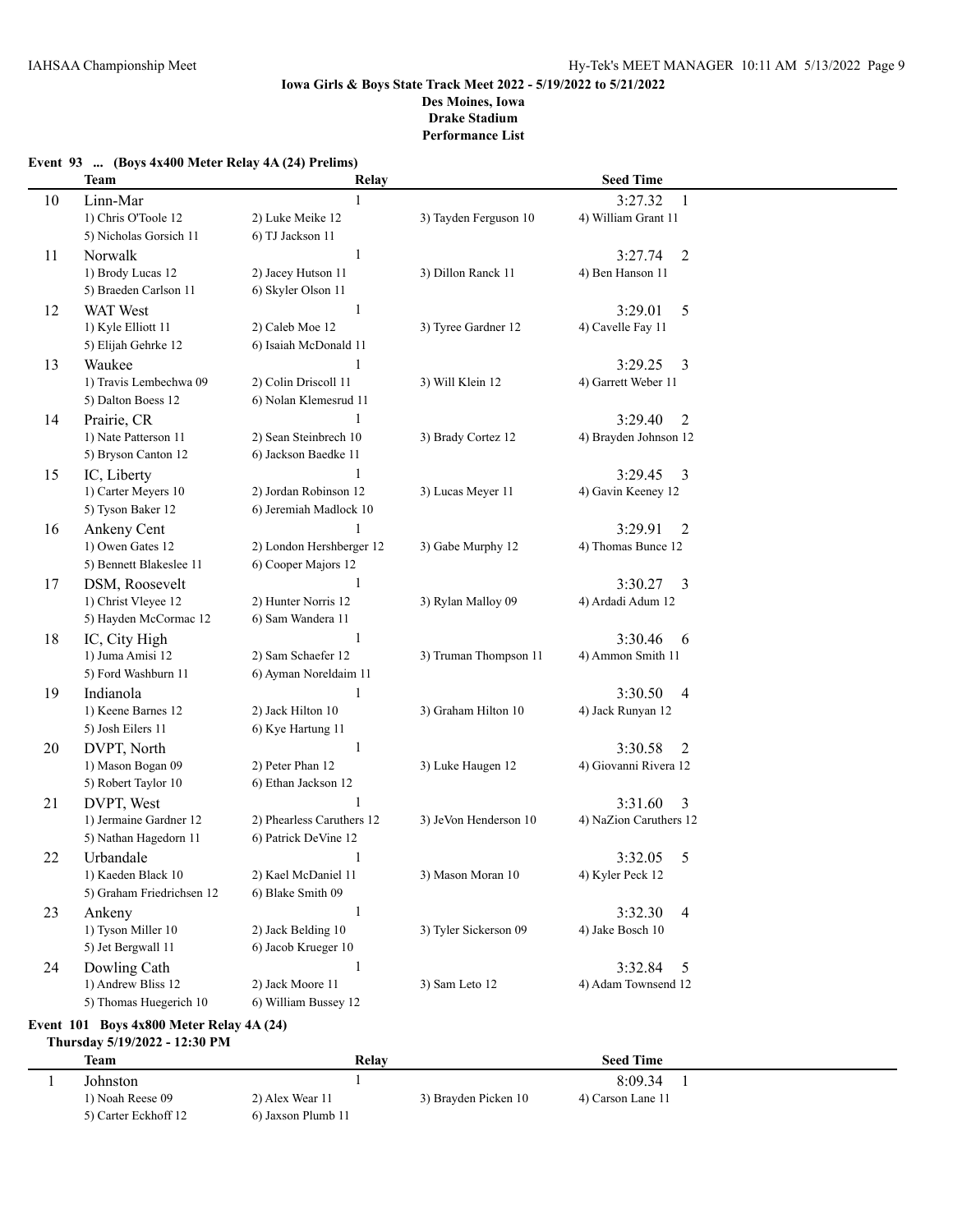|    | <b>Team</b>                              | Relay                     |                       | <b>Seed Time</b>                      |  |
|----|------------------------------------------|---------------------------|-----------------------|---------------------------------------|--|
| 10 | Linn-Mar                                 |                           |                       | 3:27.32<br>1                          |  |
|    | 1) Chris O'Toole 12                      | 2) Luke Meike 12          | 3) Tayden Ferguson 10 | 4) William Grant 11                   |  |
|    | 5) Nicholas Gorsich 11                   | 6) TJ Jackson 11          |                       |                                       |  |
| 11 | Norwalk                                  | $\mathbf{1}$              |                       | $\overline{2}$<br>3:27.74             |  |
|    | 1) Brody Lucas 12                        | 2) Jacey Hutson 11        | 3) Dillon Ranck 11    | 4) Ben Hanson 11                      |  |
|    | 5) Braeden Carlson 11                    | 6) Skyler Olson 11        |                       |                                       |  |
| 12 | <b>WAT</b> West                          | $\mathbf{1}$              |                       | 3:29.01<br>5                          |  |
|    | 1) Kyle Elliott 11                       | 2) Caleb Moe 12           | 3) Tyree Gardner 12   | 4) Cavelle Fay 11                     |  |
|    | 5) Elijah Gehrke 12                      | 6) Isaiah McDonald 11     |                       |                                       |  |
| 13 | Waukee                                   | 1                         |                       | 3<br>3:29.25                          |  |
|    | 1) Travis Lembechwa 09                   | 2) Colin Driscoll 11      | 3) Will Klein 12      | 4) Garrett Weber 11                   |  |
|    | 5) Dalton Boess 12                       | 6) Nolan Klemesrud 11     |                       |                                       |  |
| 14 | Prairie, CR                              | 1                         |                       | $\overline{2}$<br>3:29.40             |  |
|    | 1) Nate Patterson 11                     | 2) Sean Steinbrech 10     | 3) Brady Cortez 12    | 4) Brayden Johnson 12                 |  |
|    | 5) Bryson Canton 12                      | 6) Jackson Baedke 11      |                       |                                       |  |
| 15 | IC, Liberty                              | 1                         |                       | 3:29.45<br>3                          |  |
|    | 1) Carter Meyers 10                      | 2) Jordan Robinson 12     | 3) Lucas Meyer 11     | 4) Gavin Keeney 12                    |  |
|    | 5) Tyson Baker 12                        | 6) Jeremiah Madlock 10    |                       |                                       |  |
| 16 | Ankeny Cent                              |                           |                       | 3:29.91<br>$\overline{2}$             |  |
|    | 1) Owen Gates 12                         | 2) London Hershberger 12  | 3) Gabe Murphy 12     | 4) Thomas Bunce 12                    |  |
|    | 5) Bennett Blakeslee 11                  | 6) Cooper Majors 12       |                       |                                       |  |
| 17 | DSM, Roosevelt                           | 1                         |                       | 3:30.27<br>3                          |  |
|    | 1) Christ Vleyee 12                      | 2) Hunter Norris 12       | 3) Rylan Malloy 09    | 4) Ardadi Adum 12                     |  |
|    | 5) Hayden McCormac 12                    | 6) Sam Wandera 11         |                       |                                       |  |
|    |                                          | $\mathbf{1}$              |                       | 3:30.46                               |  |
| 18 | IC, City High<br>1) Juma Amisi 12        | 2) Sam Schaefer 12        |                       | 6                                     |  |
|    | 5) Ford Washburn 11                      | 6) Ayman Noreldaim 11     | 3) Truman Thompson 11 | 4) Ammon Smith 11                     |  |
|    |                                          | 1                         |                       |                                       |  |
| 19 | Indianola<br>1) Keene Barnes 12          | 2) Jack Hilton 10         |                       | 3:30.50<br>$\overline{4}$             |  |
|    | 5) Josh Eilers 11                        | 6) Kye Hartung 11         | 3) Graham Hilton 10   | 4) Jack Runyan 12                     |  |
|    |                                          |                           |                       |                                       |  |
| 20 | DVPT, North                              | $\mathbf{1}$              |                       | 3:30.58<br>2<br>4) Giovanni Rivera 12 |  |
|    | 1) Mason Bogan 09<br>5) Robert Taylor 10 | 2) Peter Phan 12          | 3) Luke Haugen 12     |                                       |  |
|    |                                          | 6) Ethan Jackson 12       |                       |                                       |  |
| 21 | DVPT, West                               |                           |                       | 3:31.60<br>3                          |  |
|    | 1) Jermaine Gardner 12                   | 2) Phearless Caruthers 12 | 3) JeVon Henderson 10 | 4) NaZion Caruthers 12                |  |
|    | 5) Nathan Hagedorn 11                    | 6) Patrick DeVine 12      |                       |                                       |  |
| 22 | Urbandale                                | 1                         |                       | 5<br>3:32.05                          |  |
|    | 1) Kaeden Black 10                       | 2) Kael McDaniel 11       | 3) Mason Moran 10     | 4) Kyler Peck 12                      |  |
|    | 5) Graham Friedrichsen 12                | 6) Blake Smith 09         |                       |                                       |  |
| 23 | Ankeny                                   | 1                         |                       | 3:32.30<br>$\overline{4}$             |  |
|    | 1) Tyson Miller 10                       | 2) Jack Belding 10        | 3) Tyler Sickerson 09 | 4) Jake Bosch 10                      |  |
|    | 5) Jet Bergwall 11                       | 6) Jacob Krueger 10       |                       |                                       |  |
| 24 | Dowling Cath                             | 1                         |                       | 3:32.84<br>5                          |  |
|    | 1) Andrew Bliss 12                       | 2) Jack Moore 11          | 3) Sam Leto 12        | 4) Adam Townsend 12                   |  |
|    | 5) Thomas Huegerich 10                   | 6) William Bussey 12      |                       |                                       |  |
|    |                                          |                           |                       |                                       |  |

### **Event 93 ... (Boys 4x400 Meter Relay 4A (24) Prelims)**

#### **Event 101 Boys 4x800 Meter Relay 4A (24) Thursday 5/19/2022 - 12:30 PM**

| Team                 | Relay              |                      | <b>Seed Time</b>  |  |
|----------------------|--------------------|----------------------|-------------------|--|
| Johnston             |                    |                      | 8:09.34           |  |
| 1) Noah Reese 09     | 2) Alex Wear 11    | 3) Brayden Picken 10 | 4) Carson Lane 11 |  |
| 5) Carter Eckhoff 12 | 6) Jaxson Plumb 11 |                      |                   |  |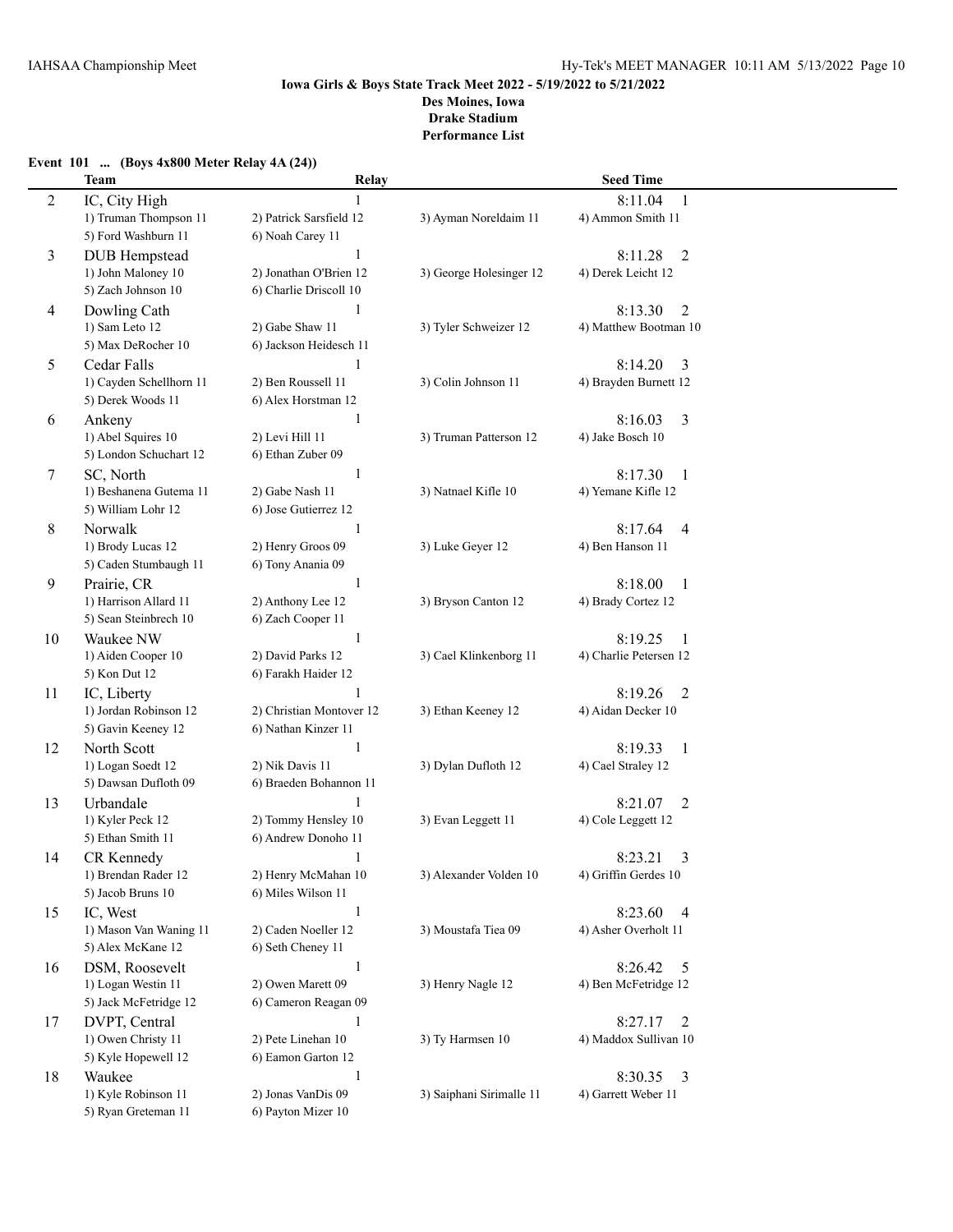# **Event 101 ... (Boys 4x800 Meter Relay 4A (24))**

|                | <b>Team</b>                           | Relay                                      |                          | <b>Seed Time</b>                     |  |
|----------------|---------------------------------------|--------------------------------------------|--------------------------|--------------------------------------|--|
| $\overline{c}$ | IC, City High                         |                                            |                          | 8:11.04<br>1                         |  |
|                | 1) Truman Thompson 11                 | 2) Patrick Sarsfield 12                    | 3) Ayman Noreldaim 11    | 4) Ammon Smith 11                    |  |
|                | 5) Ford Washburn 11                   | 6) Noah Carey 11                           |                          |                                      |  |
| 3              | <b>DUB</b> Hempstead                  | 1                                          |                          | 8:11.28<br>2                         |  |
|                | 1) John Maloney 10                    | 2) Jonathan O'Brien 12                     | 3) George Holesinger 12  | 4) Derek Leicht 12                   |  |
|                | 5) Zach Johnson 10                    | 6) Charlie Driscoll 10                     |                          |                                      |  |
| 4              | Dowling Cath                          | $\mathbf{1}$                               |                          | 8:13.30<br>$\overline{2}$            |  |
|                | 1) Sam Leto 12                        | 2) Gabe Shaw 11                            | 3) Tyler Schweizer 12    | 4) Matthew Bootman 10                |  |
|                | 5) Max DeRocher 10                    | 6) Jackson Heidesch 11                     |                          |                                      |  |
| 5              | Cedar Falls                           | $\mathbf{1}$                               |                          | 8:14.20<br>3                         |  |
|                | 1) Cayden Schellhorn 11               | 2) Ben Roussell 11                         | 3) Colin Johnson 11      | 4) Brayden Burnett 12                |  |
|                | 5) Derek Woods 11                     | 6) Alex Horstman 12                        |                          |                                      |  |
| 6              | Ankeny                                | $\mathbf{1}$                               |                          | 8:16.03<br>3                         |  |
|                | 1) Abel Squires 10                    | 2) Levi Hill 11                            | 3) Truman Patterson 12   | 4) Jake Bosch 10                     |  |
|                | 5) London Schuchart 12                | 6) Ethan Zuber 09                          |                          |                                      |  |
| 7              | SC, North                             | 1                                          |                          | 8:17.30<br>-1                        |  |
|                | 1) Beshanena Gutema 11                | 2) Gabe Nash 11                            | 3) Natnael Kifle 10      | 4) Yemane Kifle 12                   |  |
|                | 5) William Lohr 12                    | 6) Jose Gutierrez 12                       |                          |                                      |  |
| 8              | Norwalk                               | 1                                          |                          | 8:17.64<br>4                         |  |
|                | 1) Brody Lucas 12                     | 2) Henry Groos 09                          | 3) Luke Geyer 12         | 4) Ben Hanson 11                     |  |
|                | 5) Caden Stumbaugh 11                 | 6) Tony Anania 09                          |                          |                                      |  |
| 9              | Prairie, CR                           | 1                                          |                          | 8:18.00<br>-1                        |  |
|                | 1) Harrison Allard 11                 | 2) Anthony Lee 12                          | 3) Bryson Canton 12      | 4) Brady Cortez 12                   |  |
|                | 5) Sean Steinbrech 10                 | 6) Zach Cooper 11                          |                          |                                      |  |
| 10             | Waukee NW                             | $\mathbf{1}$                               |                          | 8:19.25<br>- 1                       |  |
|                | 1) Aiden Cooper 10                    | 2) David Parks 12                          | 3) Cael Klinkenborg 11   | 4) Charlie Petersen 12               |  |
|                | 5) Kon Dut 12                         | 6) Farakh Haider 12                        |                          |                                      |  |
| 11             | IC, Liberty                           |                                            |                          | 8:19.26<br>2                         |  |
|                | 1) Jordan Robinson 12                 | 2) Christian Montover 12                   | 3) Ethan Keeney 12       | 4) Aidan Decker 10                   |  |
|                | 5) Gavin Keeney 12                    | 6) Nathan Kinzer 11                        |                          |                                      |  |
| 12             | North Scott                           | $\mathbf{1}$                               |                          | 8:19.33<br>-1                        |  |
|                | 1) Logan Soedt 12                     | 2) Nik Davis 11                            | 3) Dylan Dufloth 12      | 4) Cael Straley 12                   |  |
|                | 5) Dawsan Dufloth 09                  | 6) Braeden Bohannon 11                     |                          |                                      |  |
| 13             | Urbandale                             | 1                                          |                          | 8:21.07<br>2                         |  |
|                | 1) Kyler Peck 12<br>5) Ethan Smith 11 | 2) Tommy Hensley 10<br>6) Andrew Donoho 11 | 3) Evan Leggett 11       | 4) Cole Leggett 12                   |  |
|                |                                       |                                            |                          |                                      |  |
| 14             | CR Kennedy<br>1) Brendan Rader 12     | $\mathbf{1}$<br>2) Henry McMahan 10        | 3) Alexander Volden 10   | 8:23.21<br>3<br>4) Griffin Gerdes 10 |  |
|                | 5) Jacob Bruns 10                     | 6) Miles Wilson 11                         |                          |                                      |  |
| 15             | IC, West                              | $\mathbf{1}$                               |                          | 8:23.60                              |  |
|                | 1) Mason Van Waning 11                | 2) Caden Noeller 12                        | 3) Moustafa Tiea 09      | 4<br>4) Asher Overholt 11            |  |
|                | 5) Alex McKane 12                     | 6) Seth Cheney 11                          |                          |                                      |  |
| 16             | DSM, Roosevelt                        | $\mathbf{1}$                               |                          | 8:26.42<br>5                         |  |
|                | 1) Logan Westin 11                    | 2) Owen Marett 09                          | 3) Henry Nagle 12        | 4) Ben McFetridge 12                 |  |
|                | 5) Jack McFetridge 12                 | 6) Cameron Reagan 09                       |                          |                                      |  |
| 17             | DVPT, Central                         | 1                                          |                          | 8:27.17<br>2                         |  |
|                | 1) Owen Christy 11                    | 2) Pete Linehan 10                         | 3) Ty Harmsen 10         | 4) Maddox Sullivan 10                |  |
|                | 5) Kyle Hopewell 12                   | 6) Eamon Garton 12                         |                          |                                      |  |
| 18             | Waukee                                | $\mathbf{1}$                               |                          | 8:30.35<br>$\overline{\mathbf{3}}$   |  |
|                | 1) Kyle Robinson 11                   | 2) Jonas VanDis 09                         | 3) Saiphani Sirimalle 11 | 4) Garrett Weber 11                  |  |
|                | 5) Ryan Greteman 11                   | 6) Payton Mizer 10                         |                          |                                      |  |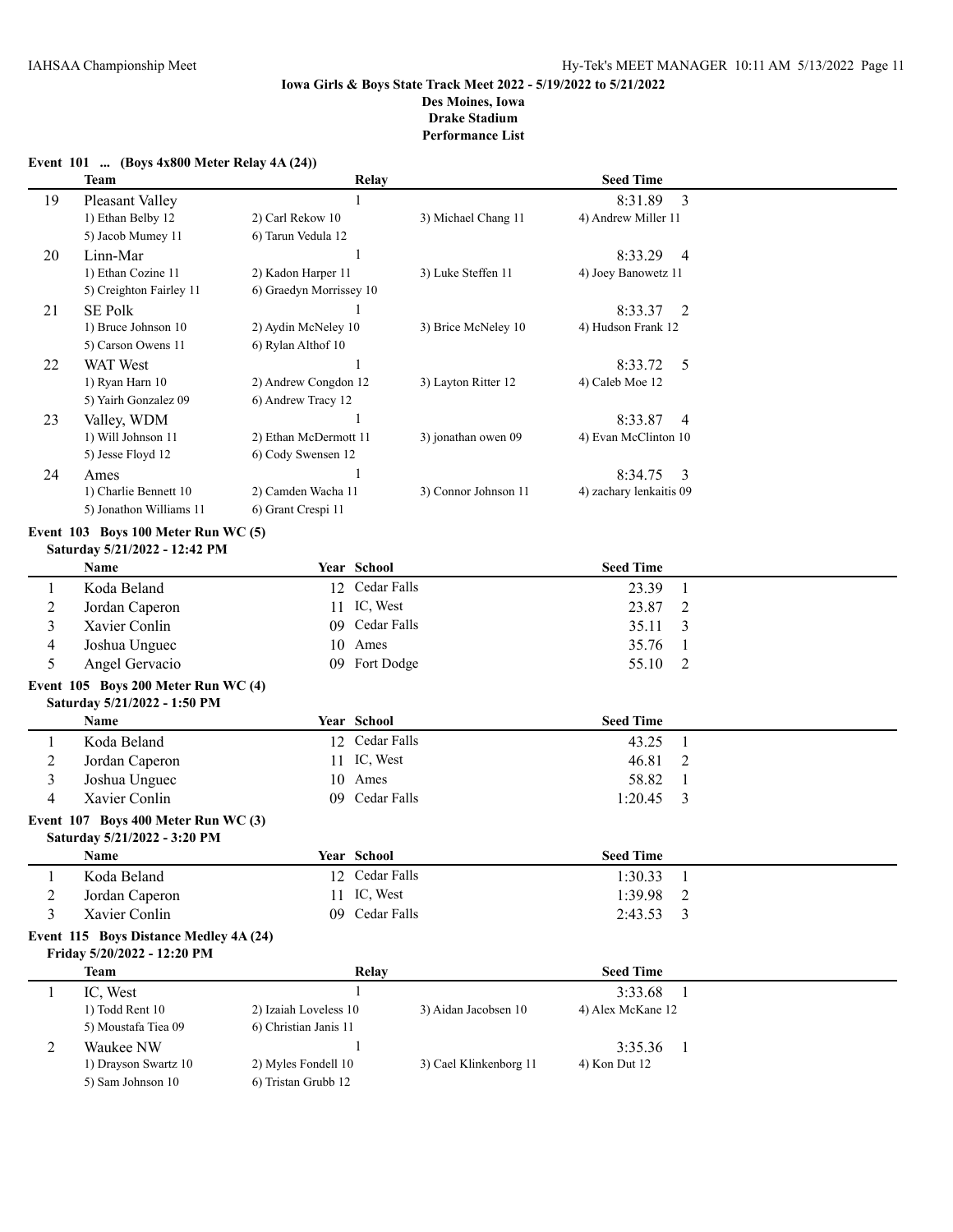|                         | Event 101  (Boys 4x800 Meter Relay 4A (24))                           |                          |                        |                                |  |
|-------------------------|-----------------------------------------------------------------------|--------------------------|------------------------|--------------------------------|--|
|                         | <b>Team</b>                                                           | Relay                    |                        | <b>Seed Time</b>               |  |
| 19                      | Pleasant Valley                                                       | $\mathbf{1}$             |                        | 8:31.89<br>3                   |  |
|                         | 1) Ethan Belby 12                                                     | 2) Carl Rekow 10         | 3) Michael Chang 11    | 4) Andrew Miller 11            |  |
|                         | 5) Jacob Mumey 11                                                     | 6) Tarun Vedula 12       |                        |                                |  |
| 20                      | Linn-Mar                                                              | 1                        |                        | 8:33.29<br>4                   |  |
|                         | 1) Ethan Cozine 11                                                    | 2) Kadon Harper 11       | 3) Luke Steffen 11     | 4) Joey Banowetz 11            |  |
|                         | 5) Creighton Fairley 11                                               | 6) Graedyn Morrissey 10  |                        |                                |  |
| 21                      | <b>SE Polk</b>                                                        |                          |                        | 8:33.37<br>2                   |  |
|                         | 1) Bruce Johnson 10                                                   | 2) Aydin McNeley 10      | 3) Brice McNeley 10    | 4) Hudson Frank 12             |  |
|                         | 5) Carson Owens 11                                                    | 6) Rylan Althof 10       |                        |                                |  |
| 22                      | WAT West                                                              | 1                        |                        | 5<br>8:33.72                   |  |
|                         | 1) Ryan Harn 10                                                       | 2) Andrew Congdon 12     | 3) Layton Ritter 12    | 4) Caleb Moe 12                |  |
|                         | 5) Yairh Gonzalez 09                                                  | 6) Andrew Tracy 12       |                        |                                |  |
| 23                      | Valley, WDM                                                           |                          |                        | 8:33.87<br>4                   |  |
|                         | 1) Will Johnson 11                                                    | 2) Ethan McDermott 11    | 3) jonathan owen 09    | 4) Evan McClinton 10           |  |
|                         | 5) Jesse Floyd 12                                                     | 6) Cody Swensen 12       |                        |                                |  |
| 24                      | Ames                                                                  |                          |                        | 8:34.75<br>3                   |  |
|                         | 1) Charlie Bennett 10                                                 | 2) Camden Wacha 11       | 3) Connor Johnson 11   | 4) zachary lenkaitis 09        |  |
|                         | 5) Jonathon Williams 11                                               | 6) Grant Crespi 11       |                        |                                |  |
|                         | Event 103 Boys 100 Meter Run WC (5)                                   |                          |                        |                                |  |
|                         | Saturday 5/21/2022 - 12:42 PM                                         |                          |                        |                                |  |
|                         | <b>Name</b>                                                           | Year School              |                        | <b>Seed Time</b>               |  |
| 1                       | Koda Beland                                                           | 12 Cedar Falls           |                        | 23.39<br>$\mathbf{1}$          |  |
| $\overline{c}$          | Jordan Caperon                                                        | IC, West<br>11           |                        | 23.87<br>$\overline{2}$        |  |
| 3                       | Xavier Conlin                                                         | Cedar Falls<br>09        |                        | 35.11<br>3                     |  |
| 4                       | Joshua Unguec                                                         | Ames<br>10               |                        | 35.76<br>1                     |  |
| 5                       | Angel Gervacio                                                        | 09 Fort Dodge            |                        | 55.10<br>2                     |  |
|                         | Event 105 Boys 200 Meter Run WC (4)                                   |                          |                        |                                |  |
|                         | Saturday 5/21/2022 - 1:50 PM                                          |                          |                        |                                |  |
|                         | Name                                                                  | Year School              |                        | <b>Seed Time</b>               |  |
| 1                       | Koda Beland                                                           | 12 Cedar Falls           |                        | 43.25<br>1                     |  |
| $\overline{c}$          | Jordan Caperon                                                        | IC, West<br>11           |                        | 46.81<br>2                     |  |
| $\overline{\mathbf{3}}$ | Joshua Unguec                                                         | Ames<br>10               |                        | 58.82<br>$\mathbf{1}$          |  |
| 4                       | Xavier Conlin                                                         | 09 Cedar Falls           |                        | 3<br>1:20.45                   |  |
|                         | Event 107 Boys 400 Meter Run WC (3)                                   |                          |                        |                                |  |
|                         | Saturday 5/21/2022 - 3:20 PM                                          |                          |                        |                                |  |
|                         | Name                                                                  | Year School              |                        | <b>Seed Time</b>               |  |
| 1                       | Koda Beland                                                           | 12 Cedar Falls           |                        | 1:30.33<br>1                   |  |
| $\overline{c}$          | Jordan Caperon                                                        | IC, West<br>11           |                        | 1:39.98<br>2                   |  |
| 3                       | Xavier Conlin                                                         | Cedar Falls<br>09        |                        | 2:43.53<br>3                   |  |
|                         |                                                                       |                          |                        |                                |  |
|                         | Event 115 Boys Distance Medley 4A (24)<br>Friday 5/20/2022 - 12:20 PM |                          |                        |                                |  |
|                         | <b>Team</b>                                                           | Relay                    |                        | <b>Seed Time</b>               |  |
|                         |                                                                       | $\mathbf{1}$             |                        |                                |  |
| $\mathbf{1}$            | IC, West<br>1) Todd Rent 10                                           | 2) Izaiah Loveless 10    | 3) Aidan Jacobsen 10   | 3:33.68<br>$\overline{1}$      |  |
|                         | 5) Moustafa Tiea 09                                                   | 6) Christian Janis 11    |                        | 4) Alex McKane 12              |  |
|                         |                                                                       |                          |                        |                                |  |
| 2                       | Waukee NW<br>1) Drayson Swartz 10                                     | 1<br>2) Myles Fondell 10 | 3) Cael Klinkenborg 11 | 3:35.36<br>-1<br>4) Kon Dut 12 |  |
|                         | 5) Sam Johnson 10                                                     | 6) Tristan Grubb 12      |                        |                                |  |
|                         |                                                                       |                          |                        |                                |  |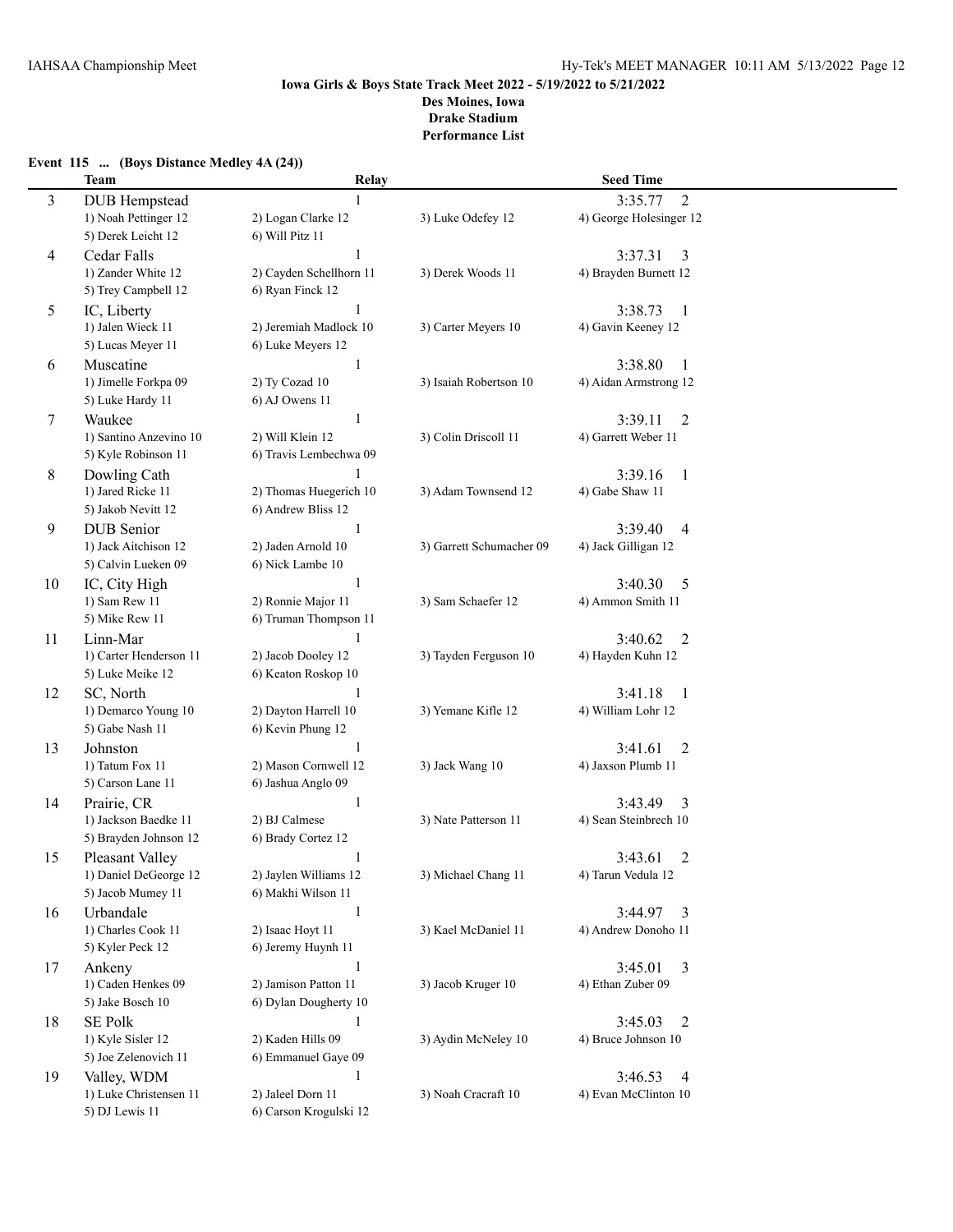# **Event 115 ... (Boys Distance Medley 4A (24))**

|    | <b>Team</b>                       | Relay                   |                          | <b>Seed Time</b>                      |  |
|----|-----------------------------------|-------------------------|--------------------------|---------------------------------------|--|
| 3  | <b>DUB</b> Hempstead              |                         |                          | $\overline{2}$<br>3:35.77             |  |
|    | 1) Noah Pettinger 12              | 2) Logan Clarke 12      | 3) Luke Odefey 12        | 4) George Holesinger 12               |  |
|    | 5) Derek Leicht 12                | 6) Will Pitz 11         |                          |                                       |  |
| 4  | Cedar Falls                       | $\mathbf{1}$            |                          | 3:37.31<br>3                          |  |
|    | 1) Zander White 12                | 2) Cayden Schellhorn 11 | 3) Derek Woods 11        | 4) Brayden Burnett 12                 |  |
|    | 5) Trey Campbell 12               | 6) Ryan Finck 12        |                          |                                       |  |
| 5  | IC, Liberty                       | 1                       |                          | 3:38.73<br>-1                         |  |
|    | 1) Jalen Wieck 11                 | 2) Jeremiah Madlock 10  | 3) Carter Meyers 10      | 4) Gavin Keeney 12                    |  |
|    | 5) Lucas Meyer 11                 | 6) Luke Meyers 12       |                          |                                       |  |
| 6  | Muscatine                         | 1                       |                          | 3:38.80<br>$\mathbf{1}$               |  |
|    | 1) Jimelle Forkpa 09              | 2) Ty Cozad 10          | 3) Isaiah Robertson 10   | 4) Aidan Armstrong 12                 |  |
|    | 5) Luke Hardy 11                  | 6) AJ Owens 11          |                          |                                       |  |
| 7  | Waukee                            | 1                       |                          | 3:39.11                               |  |
|    | 1) Santino Anzevino 10            | 2) Will Klein 12        | 3) Colin Driscoll 11     | $\overline{2}$<br>4) Garrett Weber 11 |  |
|    | 5) Kyle Robinson 11               | 6) Travis Lembechwa 09  |                          |                                       |  |
|    |                                   |                         |                          | 3:39.16                               |  |
| 8  | Dowling Cath<br>1) Jared Ricke 11 | 2) Thomas Huegerich 10  | 3) Adam Townsend 12      | 1<br>4) Gabe Shaw 11                  |  |
|    | 5) Jakob Nevitt 12                | 6) Andrew Bliss 12      |                          |                                       |  |
|    | <b>DUB</b> Senior                 | 1                       |                          | 3:39.40                               |  |
| 9  | 1) Jack Aitchison 12              | 2) Jaden Arnold 10      | 3) Garrett Schumacher 09 | 4<br>4) Jack Gilligan 12              |  |
|    | 5) Calvin Lueken 09               | 6) Nick Lambe 10        |                          |                                       |  |
|    |                                   | -1                      |                          | 3:40.30                               |  |
| 10 | IC, City High<br>1) Sam Rew 11    | 2) Ronnie Major 11      | 3) Sam Schaefer 12       | 5<br>4) Ammon Smith 11                |  |
|    | 5) Mike Rew 11                    | 6) Truman Thompson 11   |                          |                                       |  |
| 11 | Linn-Mar                          | 1                       |                          | 3:40.62<br>2                          |  |
|    | 1) Carter Henderson 11            | 2) Jacob Dooley 12      | 3) Tayden Ferguson 10    | 4) Hayden Kuhn 12                     |  |
|    | 5) Luke Meike 12                  | 6) Keaton Roskop 10     |                          |                                       |  |
| 12 | SC, North                         | 1                       |                          | 3:41.18<br>$\mathbf{1}$               |  |
|    | 1) Demarco Young 10               | 2) Dayton Harrell 10    | 3) Yemane Kifle 12       | 4) William Lohr 12                    |  |
|    | 5) Gabe Nash 11                   | 6) Kevin Phung 12       |                          |                                       |  |
| 13 | Johnston                          | 1                       |                          | $\overline{2}$<br>3:41.61             |  |
|    | 1) Tatum Fox 11                   | 2) Mason Cornwell 12    | 3) Jack Wang 10          | 4) Jaxson Plumb 11                    |  |
|    | 5) Carson Lane 11                 | 6) Jashua Anglo 09      |                          |                                       |  |
| 14 | Prairie, CR                       | 1                       |                          | 3:43.49<br>3                          |  |
|    | 1) Jackson Baedke 11              | 2) BJ Calmese           | 3) Nate Patterson 11     | 4) Sean Steinbrech 10                 |  |
|    | 5) Brayden Johnson 12             | 6) Brady Cortez 12      |                          |                                       |  |
| 15 | Pleasant Valley                   |                         |                          | $\overline{2}$<br>3:43.61             |  |
|    | 1) Daniel DeGeorge 12             | 2) Jaylen Williams 12   | 3) Michael Chang 11      | 4) Tarun Vedula 12                    |  |
|    | 5) Jacob Mumey 11                 | 6) Makhi Wilson 11      |                          |                                       |  |
| 16 | Urbandale                         | 1                       |                          | 3:44.97<br>3                          |  |
|    | 1) Charles Cook 11                | 2) Isaac Hoyt 11        | 3) Kael McDaniel 11      | 4) Andrew Donoho 11                   |  |
|    | 5) Kyler Peck 12                  | 6) Jeremy Huynh 11      |                          |                                       |  |
| 17 | Ankeny                            | 1                       |                          | 3:45.01<br>3                          |  |
|    | 1) Caden Henkes 09                | 2) Jamison Patton 11    | 3) Jacob Kruger 10       | 4) Ethan Zuber 09                     |  |
|    | 5) Jake Bosch 10                  | 6) Dylan Dougherty 10   |                          |                                       |  |
| 18 | <b>SE Polk</b>                    | 1                       |                          | 3:45.03<br>2                          |  |
|    | 1) Kyle Sisler 12                 | 2) Kaden Hills 09       | 3) Aydin McNeley 10      | 4) Bruce Johnson 10                   |  |
|    | 5) Joe Zelenovich 11              | 6) Emmanuel Gaye 09     |                          |                                       |  |
| 19 | Valley, WDM                       | 1                       |                          | 3:46.53<br>4                          |  |
|    | 1) Luke Christensen 11            | 2) Jaleel Dorn 11       | 3) Noah Cracraft 10      | 4) Evan McClinton 10                  |  |
|    | 5) DJ Lewis 11                    | 6) Carson Krogulski 12  |                          |                                       |  |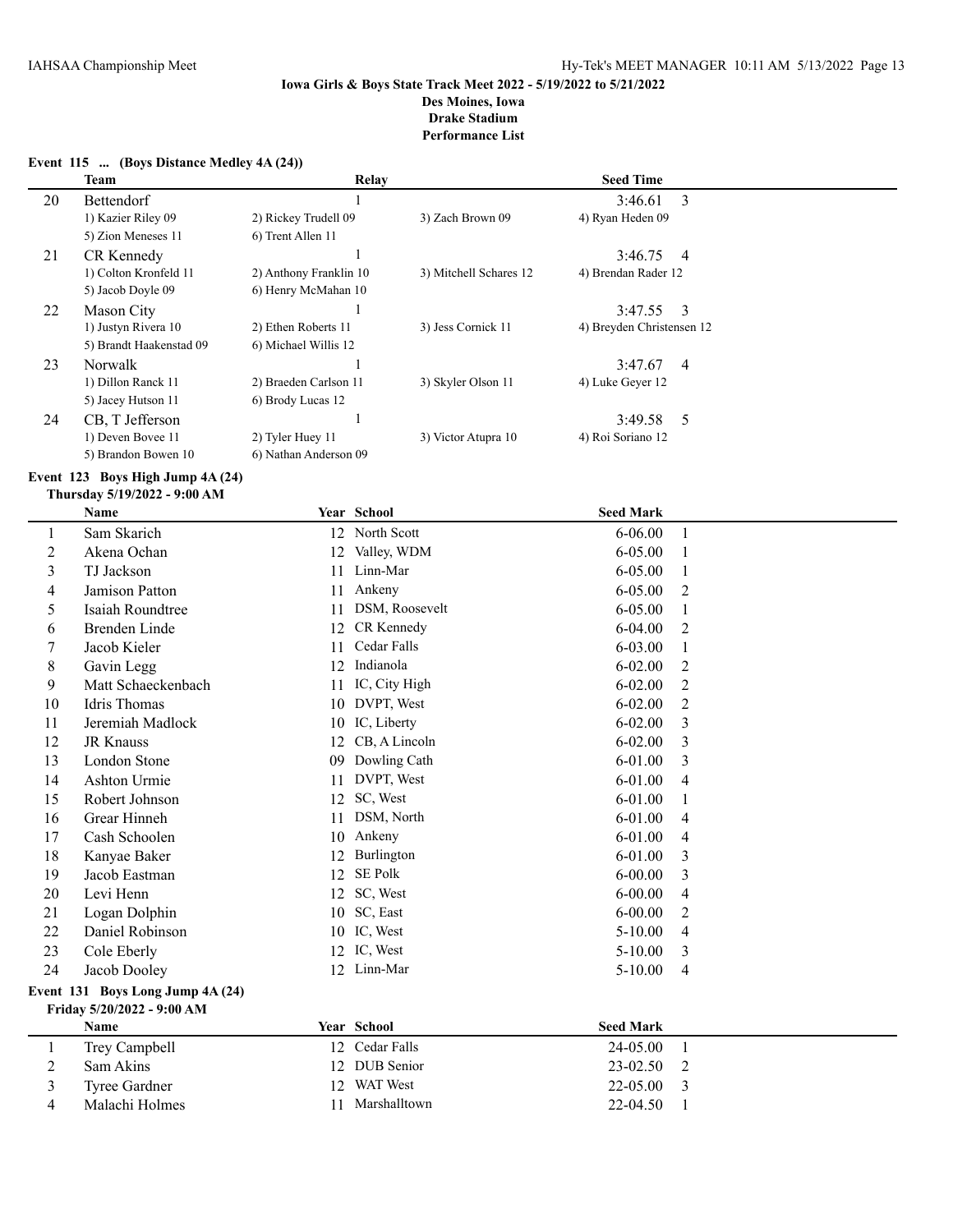|                                                                     | Team                    | Relay                  |                        | <b>Seed Time</b>          |  |
|---------------------------------------------------------------------|-------------------------|------------------------|------------------------|---------------------------|--|
| 20                                                                  | <b>Bettendorf</b>       |                        |                        | 3<br>3:46.61              |  |
|                                                                     | 1) Kazier Riley 09      | 2) Rickey Trudell 09   | 3) Zach Brown 09       | 4) Ryan Heden 09          |  |
|                                                                     | 5) Zion Meneses 11      | 6) Trent Allen 11      |                        |                           |  |
| 21                                                                  | CR Kennedy              |                        |                        | 3:46.75<br>$\overline{4}$ |  |
|                                                                     | 1) Colton Kronfeld 11   | 2) Anthony Franklin 10 | 3) Mitchell Schares 12 | 4) Brendan Rader 12       |  |
|                                                                     | 5) Jacob Doyle 09       | 6) Henry McMahan 10    |                        |                           |  |
| 22                                                                  | Mason City              |                        |                        | 3:47.55<br>-3             |  |
|                                                                     | 1) Justyn Rivera 10     | 2) Ethen Roberts 11    | 3) Jess Cornick 11     | 4) Breyden Christensen 12 |  |
|                                                                     | 5) Brandt Haakenstad 09 | 6) Michael Willis 12   |                        |                           |  |
| 23                                                                  | Norwalk                 |                        |                        | 3:47.67<br>$\overline{4}$ |  |
|                                                                     | 1) Dillon Ranck 11      | 2) Braeden Carlson 11  | 3) Skyler Olson 11     | 4) Luke Geyer 12          |  |
|                                                                     | 5) Jacey Hutson 11      | 6) Brody Lucas 12      |                        |                           |  |
| 24                                                                  | CB, T Jefferson         |                        |                        | 3:49.58<br>-5             |  |
|                                                                     | 1) Deven Bovee 11       | 2) Tyler Huey 11       | 3) Victor Atupra 10    | 4) Roi Soriano 12         |  |
|                                                                     | 5) Brandon Bowen 10     | 6) Nathan Anderson 09  |                        |                           |  |
| Event $123$ Boys High Jump $4A(24)$<br>Thursday 5/19/2022 - 9:00 AM |                         |                        |                        |                           |  |

# **Event 115 ... (Boys Distance Medley 4A (24))**

|                | <b>Name</b>                      |    | Year School     | <b>Seed Mark</b> |              |
|----------------|----------------------------------|----|-----------------|------------------|--------------|
| 1              | Sam Skarich                      |    | 12 North Scott  | $6 - 06.00$      | 1            |
| $\overline{2}$ | Akena Ochan                      | 12 | Valley, WDM     | $6 - 05.00$      |              |
| 3              | TJ Jackson                       | 11 | Linn-Mar        | 6-05.00          | 1            |
| 4              | Jamison Patton                   | 11 | Ankeny          | $6 - 05.00$      | 2            |
| 5              | Isaiah Roundtree                 | 11 | DSM, Roosevelt  | $6 - 05.00$      | 1            |
| 6              | <b>Brenden Linde</b>             | 12 | CR Kennedy      | $6 - 04.00$      | 2            |
| 7              | Jacob Kieler                     | 11 | Cedar Falls     | $6 - 03.00$      | 1            |
| 8              | Gavin Legg                       | 12 | Indianola       | $6 - 02.00$      | 2            |
| 9              | Matt Schaeckenbach               | 11 | IC, City High   | $6 - 02.00$      | 2            |
| 10             | Idris Thomas                     |    | 10 DVPT, West   | $6 - 02.00$      | 2            |
| 11             | Jeremiah Madlock                 | 10 | IC, Liberty     | $6 - 02.00$      | 3            |
| 12             | <b>JR Knauss</b>                 | 12 | CB, A Lincoln   | $6 - 02.00$      | 3            |
| 13             | London Stone                     | 09 | Dowling Cath    | $6 - 01.00$      | 3            |
| 14             | Ashton Urmie                     | 11 | DVPT, West      | $6 - 01.00$      | 4            |
| 15             | Robert Johnson                   | 12 | SC, West        | 6-01.00          | 1            |
| 16             | Grear Hinneh                     | 11 | DSM, North      | $6 - 01.00$      | 4            |
| 17             | Cash Schoolen                    | 10 | Ankeny          | $6 - 01.00$      | 4            |
| 18             | Kanyae Baker                     | 12 | Burlington      | 6-01.00          | 3            |
| 19             | Jacob Eastman                    | 12 | SE Polk         | $6 - 00.00$      | 3            |
| 20             | Levi Henn                        | 12 | SC, West        | $6 - 00.00$      | 4            |
| 21             | Logan Dolphin                    | 10 | SC, East        | $6 - 00.00$      | 2            |
| 22             | Daniel Robinson                  |    | 10 IC, West     | $5-10.00$        | 4            |
| 23             | Cole Eberly                      |    | 12 IC, West     | $5 - 10.00$      | 3            |
| 24             | Jacob Dooley                     | 12 | Linn-Mar        | 5-10.00          | 4            |
|                | Event 131 Boys Long Jump 4A (24) |    |                 |                  |              |
|                | Friday 5/20/2022 - 9:00 AM       |    |                 |                  |              |
|                | Name                             |    | Year School     | <b>Seed Mark</b> |              |
| 1              | Trey Campbell                    |    | 12 Cedar Falls  | 24-05.00         | $\mathbf{1}$ |
| 2              | Sam Akins                        | 12 | DUB Senior      | 23-02.50         | 2            |
| 3              | <b>Tyree Gardner</b>             | 12 | <b>WAT</b> West | 22-05.00         | 3            |
| 4              | Malachi Holmes                   | 11 | Marshalltown    | 22-04.50         | 1            |
|                |                                  |    |                 |                  |              |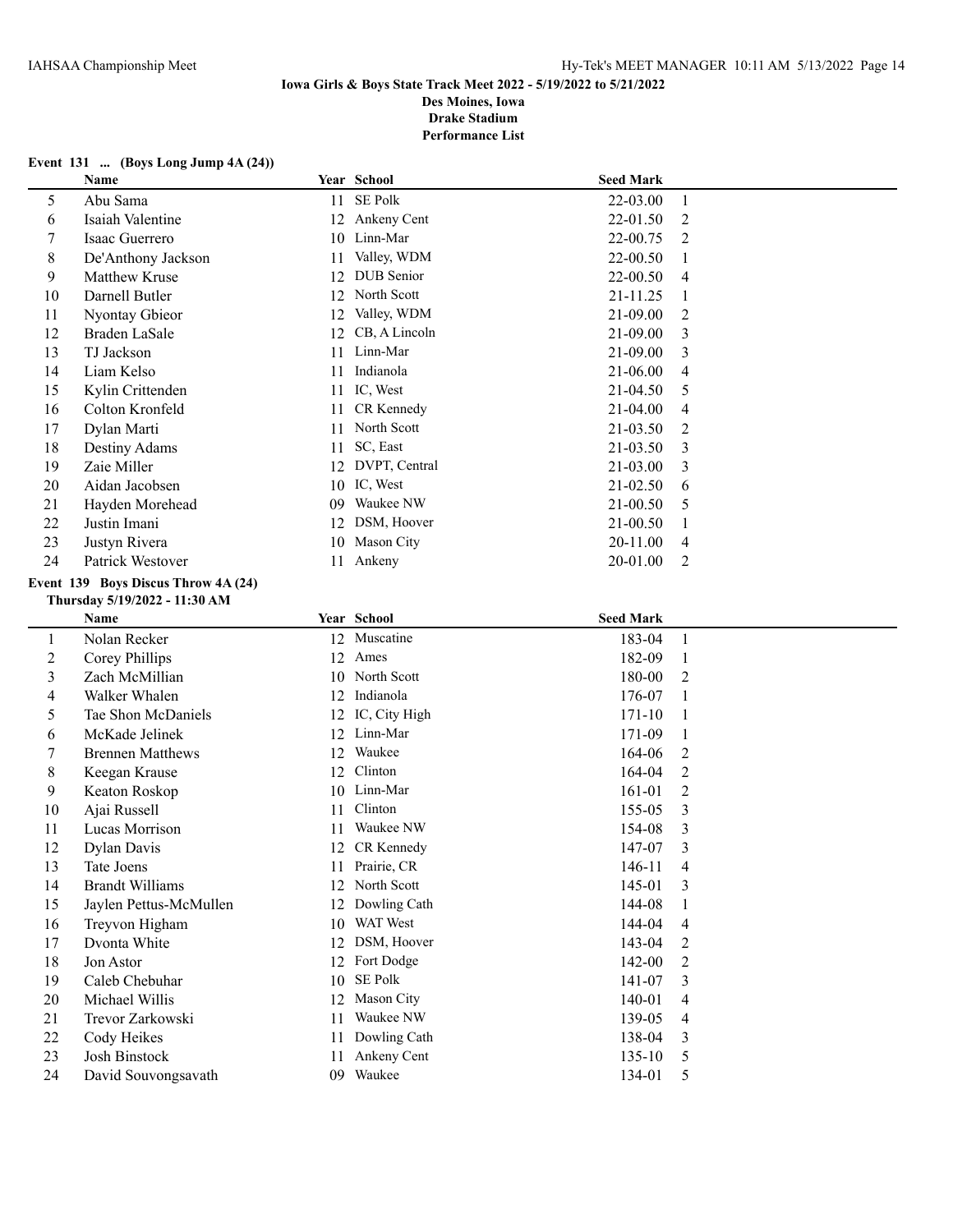# **Event 131 ... (Boys Long Jump 4A (24))**

|                  | Name                                |    | Year School      | <b>Seed Mark</b> |                |
|------------------|-------------------------------------|----|------------------|------------------|----------------|
| 5                | Abu Sama                            | 11 | SE Polk          | 22-03.00         | 1              |
| 6                | Isaiah Valentine                    | 12 | Ankeny Cent      | 22-01.50         | $\overline{2}$ |
| 7                | Isaac Guerrero                      |    | 10 Linn-Mar      | 22-00.75         | 2              |
| $8\,$            | De'Anthony Jackson                  | 11 | Valley, WDM      | 22-00.50         | 1              |
| 9                | Matthew Kruse                       | 12 | DUB Senior       | 22-00.50         | 4              |
| 10               | Darnell Butler                      | 12 | North Scott      | 21-11.25         | 1              |
| 11               | Nyontay Gbieor                      | 12 | Valley, WDM      | 21-09.00         | $\overline{2}$ |
| 12               | Braden LaSale                       | 12 | CB, A Lincoln    | 21-09.00         | 3              |
| 13               | TJ Jackson                          | 11 | Linn-Mar         | 21-09.00         | 3              |
| 14               | Liam Kelso                          | 11 | Indianola        | 21-06.00         | 4              |
| 15               | Kylin Crittenden                    | 11 | IC, West         | 21-04.50         | 5              |
| 16               | Colton Kronfeld                     | 11 | CR Kennedy       | 21-04.00         | 4              |
| 17               | Dylan Marti                         | 11 | North Scott      | 21-03.50         | $\overline{c}$ |
| 18               | Destiny Adams                       | 11 | SC, East         | 21-03.50         | 3              |
| 19               | Zaie Miller                         |    | 12 DVPT, Central | 21-03.00         | 3              |
| 20               | Aidan Jacobsen                      |    | 10 IC, West      | 21-02.50         | 6              |
| 21               | Hayden Morehead                     |    | 09 Waukee NW     | 21-00.50         | 5              |
| 22               | Justin Imani                        |    | 12 DSM, Hoover   | 21-00.50         | 1              |
| 23               | Justyn Rivera                       |    | 10 Mason City    | 20-11.00         | 4              |
| 24               | Patrick Westover                    |    | 11 Ankeny        | 20-01.00         | $\overline{2}$ |
|                  | Event 139 Boys Discus Throw 4A (24) |    |                  |                  |                |
|                  | Thursday 5/19/2022 - 11:30 AM       |    |                  |                  |                |
|                  | Name                                |    | Year School      | <b>Seed Mark</b> |                |
| $\mathbf{1}$     | Nolan Recker                        |    | 12 Muscatine     | 183-04           | $\mathbf{1}$   |
| $\boldsymbol{2}$ | Corey Phillips                      |    | 12 Ames          | 182-09           | $\mathbf{1}$   |
| $\mathfrak{Z}$   | Zach McMillian                      |    | 10 North Scott   | 180-00           | $\overline{2}$ |
| $\overline{4}$   | Walker Whalen                       |    | 12 Indianola     | 176-07           | 1              |
| 5                | Tae Shon McDaniels                  | 12 | IC, City High    | $171 - 10$       | 1              |
| 6                | McKade Jelinek                      | 12 | Linn-Mar         | 171-09           | 1              |
| 7                | <b>Brennen Matthews</b>             | 12 | Waukee           | 164-06           | 2              |
| $8\,$            | Keegan Krause                       | 12 | Clinton          | 164-04           | $\overline{c}$ |
| 9                | Keaton Roskop                       | 10 | Linn-Mar         | 161-01           | $\overline{2}$ |
| 10               | Ajai Russell                        | 11 | Clinton          | 155-05           | 3              |
| 11               | Lucas Morrison                      | 11 | Waukee NW        | 154-08           | $\mathfrak{Z}$ |
| 12               | Dylan Davis                         |    | 12 CR Kennedy    | 147-07           | 3              |
| 13               | Tate Joens                          |    | 11 Prairie, CR   | 146-11           | 4              |
| 14               | <b>Brandt Williams</b>              |    | 12 North Scott   | 145-01           | 3              |
| 15               | Jaylen Pettus-McMullen              | 12 | Dowling Cath     | 144-08           | 1              |
| 16               | Treyvon Higham                      | 10 | WAT West         | 144-04           | 4              |
| 17               | Dvonta White                        |    | 12 DSM, Hoover   | 143-04           | 2              |
| 18               | Jon Astor                           |    | 12 Fort Dodge    | 142-00           | 2              |
| 19               | Caleb Chebuhar                      | 10 | SE Polk          | 141-07           | 3              |
| 20               | Michael Willis                      | 12 | Mason City       | 140-01           | 4              |
| 21               | Trevor Zarkowski                    | 11 | Waukee NW        | 139-05           | 4              |
| 22               | Cody Heikes                         | 11 | Dowling Cath     | 138-04           | 3              |
| 23               | Josh Binstock                       | 11 | Ankeny Cent      | 135-10           | 5              |
| 24               | David Souvongsavath                 |    | 09 Waukee        | 134-01           | 5              |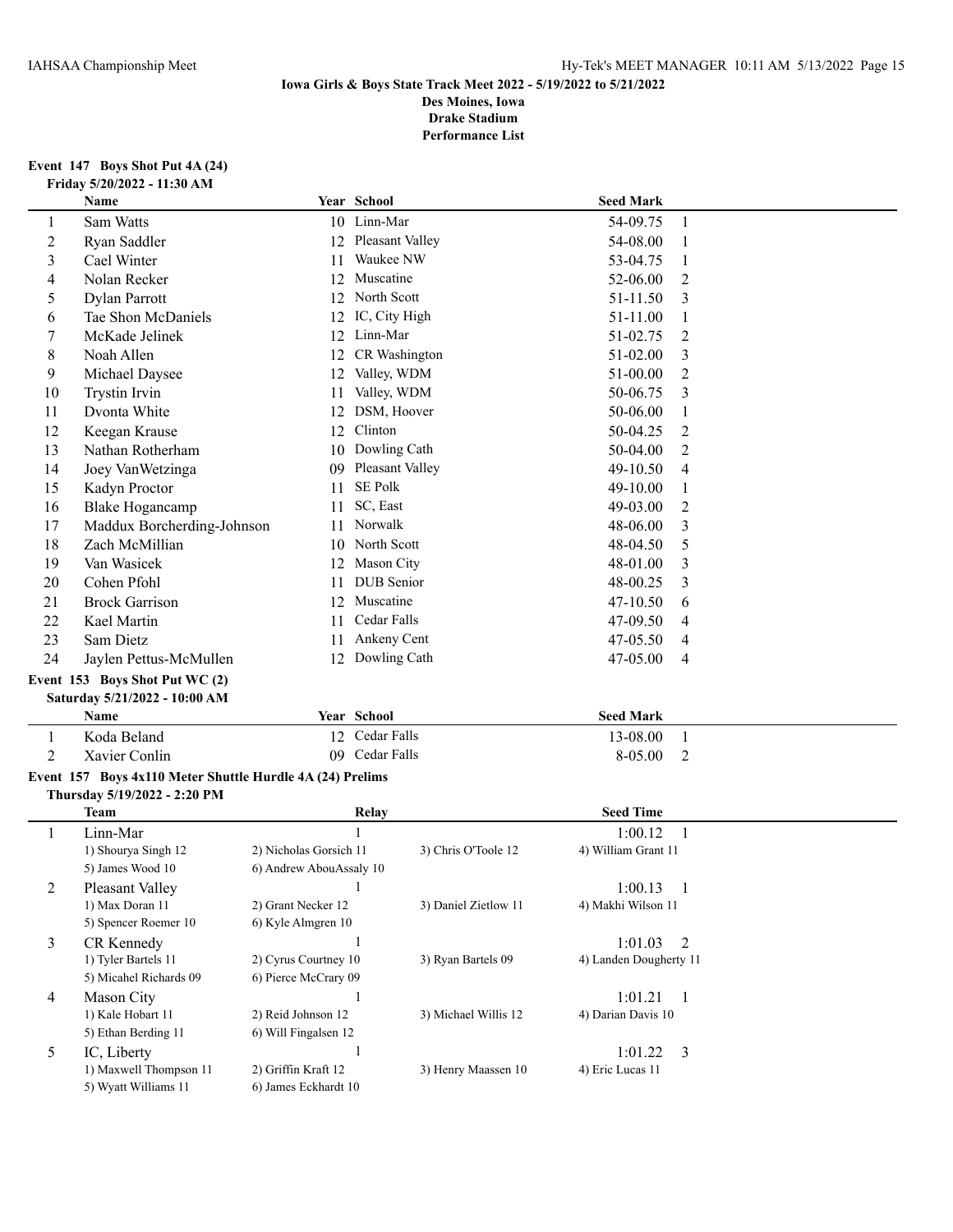# **Event 147 Boys Shot Put 4A (24) Friday 5/20/2022 - 11:30 AM**

|                         | Name                                                      |                         | Year School          | <b>Seed Mark</b>       |                |
|-------------------------|-----------------------------------------------------------|-------------------------|----------------------|------------------------|----------------|
| 1                       | Sam Watts                                                 |                         | 10 Linn-Mar          | 54-09.75               | 1              |
| $\overline{c}$          | Ryan Saddler                                              |                         | 12 Pleasant Valley   | 54-08.00               | 1              |
| 3                       | Cael Winter                                               | 11                      | Waukee NW            | 53-04.75               | 1              |
| 4                       | Nolan Recker                                              | 12                      | Muscatine            | 52-06.00               | 2              |
| 5                       | Dylan Parrott                                             |                         | 12 North Scott       | 51-11.50               | 3              |
| 6                       | Tae Shon McDaniels                                        | 12                      | IC, City High        | 51-11.00               | 1              |
| 7                       | McKade Jelinek                                            | 12                      | Linn-Mar             | 51-02.75               | 2              |
| 8                       | Noah Allen                                                | 12                      | CR Washington        | 51-02.00               | 3              |
| 9                       | Michael Daysee                                            | 12                      | Valley, WDM          | 51-00.00               | 2              |
| 10                      | <b>Trystin Irvin</b>                                      | 11                      | Valley, WDM          | 50-06.75               | 3              |
| 11                      | Dvonta White                                              | 12                      | DSM, Hoover          | 50-06.00               | 1              |
| 12                      | Keegan Krause                                             | 12                      | Clinton              | 50-04.25               | 2              |
| 13                      | Nathan Rotherham                                          | 10                      | Dowling Cath         | 50-04.00               | 2              |
| 14                      | Joey VanWetzinga                                          |                         | 09 Pleasant Valley   | 49-10.50               | 4              |
| 15                      | Kadyn Proctor                                             | 11                      | SE Polk              | 49-10.00               | 1              |
| 16                      | <b>Blake Hogancamp</b>                                    | 11                      | SC, East             | 49-03.00               | 2              |
| 17                      | Maddux Borcherding-Johnson                                | 11                      | Norwalk              | 48-06.00               | 3              |
| 18                      | Zach McMillian                                            |                         | 10 North Scott       | 48-04.50               | 5              |
| 19                      | Van Wasicek                                               |                         | 12 Mason City        | 48-01.00               | 3              |
| 20                      | Cohen Pfohl                                               | 11                      | DUB Senior           | 48-00.25               | 3              |
| 21                      | <b>Brock Garrison</b>                                     |                         | 12 Muscatine         | 47-10.50               | 6              |
| 22                      | Kael Martin                                               | 11                      | Cedar Falls          | 47-09.50               | 4              |
| 23                      | Sam Dietz                                                 | 11                      | Ankeny Cent          | 47-05.50               | 4              |
| 24                      | Jaylen Pettus-McMullen                                    |                         | 12 Dowling Cath      | 47-05.00               | 4              |
|                         | Event 153 Boys Shot Put WC (2)                            |                         |                      |                        |                |
|                         | Saturday 5/21/2022 - 10:00 AM                             |                         |                      |                        |                |
|                         | Name                                                      |                         | Year School          | <b>Seed Mark</b>       |                |
| $\mathbf{1}$            | Koda Beland                                               |                         | 12 Cedar Falls       | 13-08.00               | 1              |
| 2                       | Xavier Conlin                                             |                         | 09 Cedar Falls       | 8-05.00                | 2              |
|                         | Event 157 Boys 4x110 Meter Shuttle Hurdle 4A (24) Prelims |                         |                      |                        |                |
|                         | Thursday 5/19/2022 - 2:20 PM                              |                         |                      |                        |                |
|                         | <b>Team</b>                                               |                         | Relay                | <b>Seed Time</b>       |                |
| 1                       | Linn-Mar                                                  |                         | 1                    | 1:00.12                | 1              |
|                         | 1) Shourya Singh 12                                       | 2) Nicholas Gorsich 11  | 3) Chris O'Toole 12  | 4) William Grant 11    |                |
|                         | 5) James Wood 10                                          | 6) Andrew AbouAssaly 10 |                      |                        |                |
| $\overline{\mathbf{c}}$ | Pleasant Valley                                           |                         | 1                    | 1:00.13                | 1              |
|                         | 1) Max Doran 11                                           | 2) Grant Necker 12      | 3) Daniel Zietlow 11 | 4) Makhi Wilson 11     |                |
|                         | 5) Spencer Roemer 10                                      | 6) Kyle Almgren 10      |                      |                        |                |
| 3                       | CR Kennedy                                                |                         | $\mathbf{1}$         | 1:01.03                | $\overline{2}$ |
|                         | 1) Tyler Bartels 11                                       | 2) Cyrus Courtney 10    | 3) Ryan Bartels 09   | 4) Landen Dougherty 11 |                |
|                         | 5) Micahel Richards 09                                    | 6) Pierce McCrary 09    |                      |                        |                |
| 4                       | Mason City                                                |                         | $\mathbf{1}$         | 1:01.21                | 1              |
|                         | 1) Kale Hobart 11                                         | 2) Reid Johnson 12      | 3) Michael Willis 12 | 4) Darian Davis 10     |                |
|                         | 5) Ethan Berding 11                                       | 6) Will Fingalsen 12    |                      |                        |                |
| 5                       | IC, Liberty<br>1) Maxwell Thompson 11                     | 2) Griffin Kraft 12     | $\mathbf{1}$         | 1:01.22                | 3              |
|                         | 5) Wyatt Williams 11                                      | 6) James Eckhardt 10    | 3) Henry Maassen 10  | 4) Eric Lucas 11       |                |
|                         |                                                           |                         |                      |                        |                |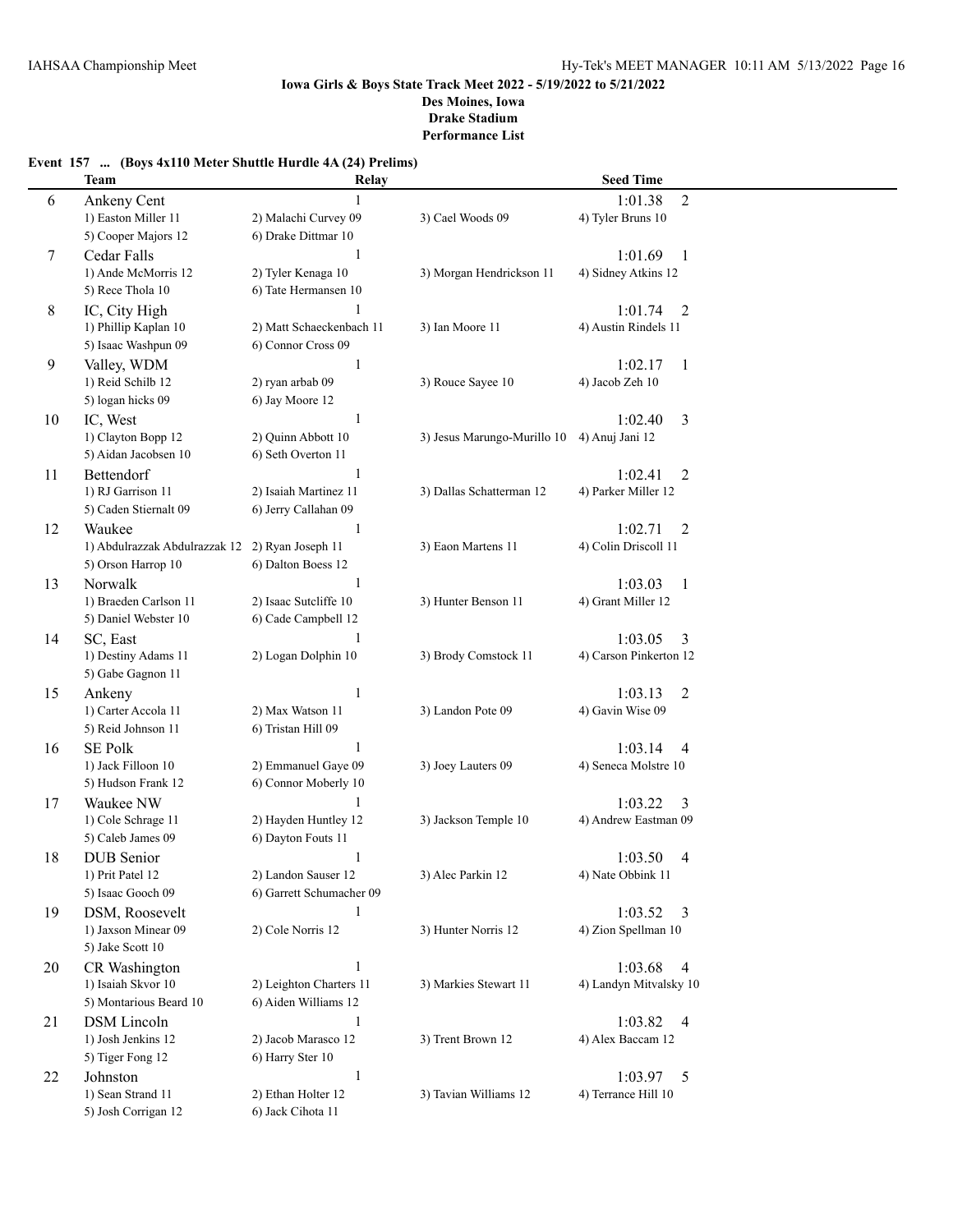# **Event 157 ... (Boys 4x110 Meter Shuttle Hurdle 4A (24) Prelims)**

|    | <b>Team</b>                   | Relay                    |                             | <b>Seed Time</b>          |  |
|----|-------------------------------|--------------------------|-----------------------------|---------------------------|--|
| 6  | Ankeny Cent                   |                          |                             | $\overline{2}$<br>1:01.38 |  |
|    | 1) Easton Miller 11           | 2) Malachi Curvey 09     | 3) Cael Woods 09            | 4) Tyler Bruns 10         |  |
|    | 5) Cooper Majors 12           | 6) Drake Dittmar 10      |                             |                           |  |
| 7  | Cedar Falls                   | $\mathbf{1}$             |                             | 1:01.69<br>$\mathbf{1}$   |  |
|    | 1) Ande McMorris 12           | 2) Tyler Kenaga 10       | 3) Morgan Hendrickson 11    | 4) Sidney Atkins 12       |  |
|    | 5) Rece Thola 10              | 6) Tate Hermansen 10     |                             |                           |  |
| 8  | IC, City High                 |                          |                             | $\overline{2}$<br>1:01.74 |  |
|    | 1) Phillip Kaplan 10          | 2) Matt Schaeckenbach 11 | 3) Ian Moore 11             | 4) Austin Rindels 11      |  |
|    | 5) Isaac Washpun 09           | 6) Connor Cross 09       |                             |                           |  |
| 9  | Valley, WDM                   | 1                        |                             | 1:02.17<br>$\mathbf{1}$   |  |
|    | 1) Reid Schilb 12             | 2) ryan arbab 09         | 3) Rouce Sayee 10           | 4) Jacob Zeh 10           |  |
|    | 5) logan hicks 09             | 6) Jay Moore 12          |                             |                           |  |
| 10 | IC, West                      | -1                       |                             | 1:02.40<br>3              |  |
|    | 1) Clayton Bopp 12            | 2) Quinn Abbott 10       | 3) Jesus Marungo-Murillo 10 | 4) Anuj Jani 12           |  |
|    | 5) Aidan Jacobsen 10          | 6) Seth Overton 11       |                             |                           |  |
| 11 | Bettendorf                    | -1                       |                             | 1:02.41<br>2              |  |
|    | 1) RJ Garrison 11             | 2) Isaiah Martinez 11    | 3) Dallas Schatterman 12    | 4) Parker Miller 12       |  |
|    | 5) Caden Stiernalt 09         | 6) Jerry Callahan 09     |                             |                           |  |
| 12 | Waukee                        | 1                        |                             | 1:02.71<br>$\overline{2}$ |  |
|    | 1) Abdulrazzak Abdulrazzak 12 | 2) Ryan Joseph 11        | 3) Eaon Martens 11          | 4) Colin Driscoll 11      |  |
|    | 5) Orson Harrop 10            | 6) Dalton Boess 12       |                             |                           |  |
| 13 | Norwalk                       | -1                       |                             | 1:03.03<br>-1             |  |
|    | 1) Braeden Carlson 11         | 2) Isaac Sutcliffe 10    | 3) Hunter Benson 11         | 4) Grant Miller 12        |  |
|    | 5) Daniel Webster 10          | 6) Cade Campbell 12      |                             |                           |  |
| 14 | SC, East                      | 1                        |                             | 1:03.05<br>3              |  |
|    | 1) Destiny Adams 11           | 2) Logan Dolphin 10      | 3) Brody Comstock 11        | 4) Carson Pinkerton 12    |  |
|    | 5) Gabe Gagnon 11             |                          |                             |                           |  |
| 15 | Ankeny                        | 1                        |                             | 1:03.13<br>2              |  |
|    | 1) Carter Accola 11           | 2) Max Watson 11         | 3) Landon Pote 09           | 4) Gavin Wise 09          |  |
|    | 5) Reid Johnson 11            | 6) Tristan Hill 09       |                             |                           |  |
| 16 | <b>SE Polk</b>                | 1                        |                             | 1:03.14<br>$\overline{4}$ |  |
|    | 1) Jack Filloon 10            | 2) Emmanuel Gaye 09      | 3) Joey Lauters 09          | 4) Seneca Molstre 10      |  |
|    | 5) Hudson Frank 12            | 6) Connor Moberly 10     |                             |                           |  |
| 17 | Waukee NW                     |                          |                             | 1:03.22<br>3              |  |
|    | 1) Cole Schrage 11            | 2) Hayden Huntley 12     | 3) Jackson Temple 10        | 4) Andrew Eastman 09      |  |
|    | 5) Caleb James 09             | 6) Dayton Fouts 11       |                             |                           |  |
| 18 | <b>DUB</b> Senior             | 1                        |                             | 1:03.50<br>4              |  |
|    | 1) Prit Patel 12              | 2) Landon Sauser 12      | 3) Alec Parkin 12           | 4) Nate Obbink 11         |  |
|    | 5) Isaac Gooch 09             | 6) Garrett Schumacher 09 |                             |                           |  |
| 19 | DSM, Roosevelt                | 1                        |                             | 1:03.52<br>3              |  |
|    | 1) Jaxson Minear 09           | 2) Cole Norris 12        | 3) Hunter Norris 12         | 4) Zion Spellman 10       |  |
|    | 5) Jake Scott 10              |                          |                             |                           |  |
| 20 | CR Washington                 | 1                        |                             | 1:03.68<br>4              |  |
|    | 1) Isaiah Skvor 10            | 2) Leighton Charters 11  | 3) Markies Stewart 11       | 4) Landyn Mitvalsky 10    |  |
|    | 5) Montarious Beard 10        | 6) Aiden Williams 12     |                             |                           |  |
| 21 | <b>DSM</b> Lincoln            | $\mathbf{1}$             |                             | 1:03.82<br>4              |  |
|    | 1) Josh Jenkins 12            | 2) Jacob Marasco 12      | 3) Trent Brown 12           | 4) Alex Baccam 12         |  |
|    | 5) Tiger Fong 12              | 6) Harry Ster 10         |                             |                           |  |
| 22 | Johnston                      | $\mathbf{1}$             |                             | 1:03.97<br>$\overline{5}$ |  |
|    | 1) Sean Strand 11             | 2) Ethan Holter 12       | 3) Tavian Williams 12       | 4) Terrance Hill 10       |  |
|    | 5) Josh Corrigan 12           | 6) Jack Cihota 11        |                             |                           |  |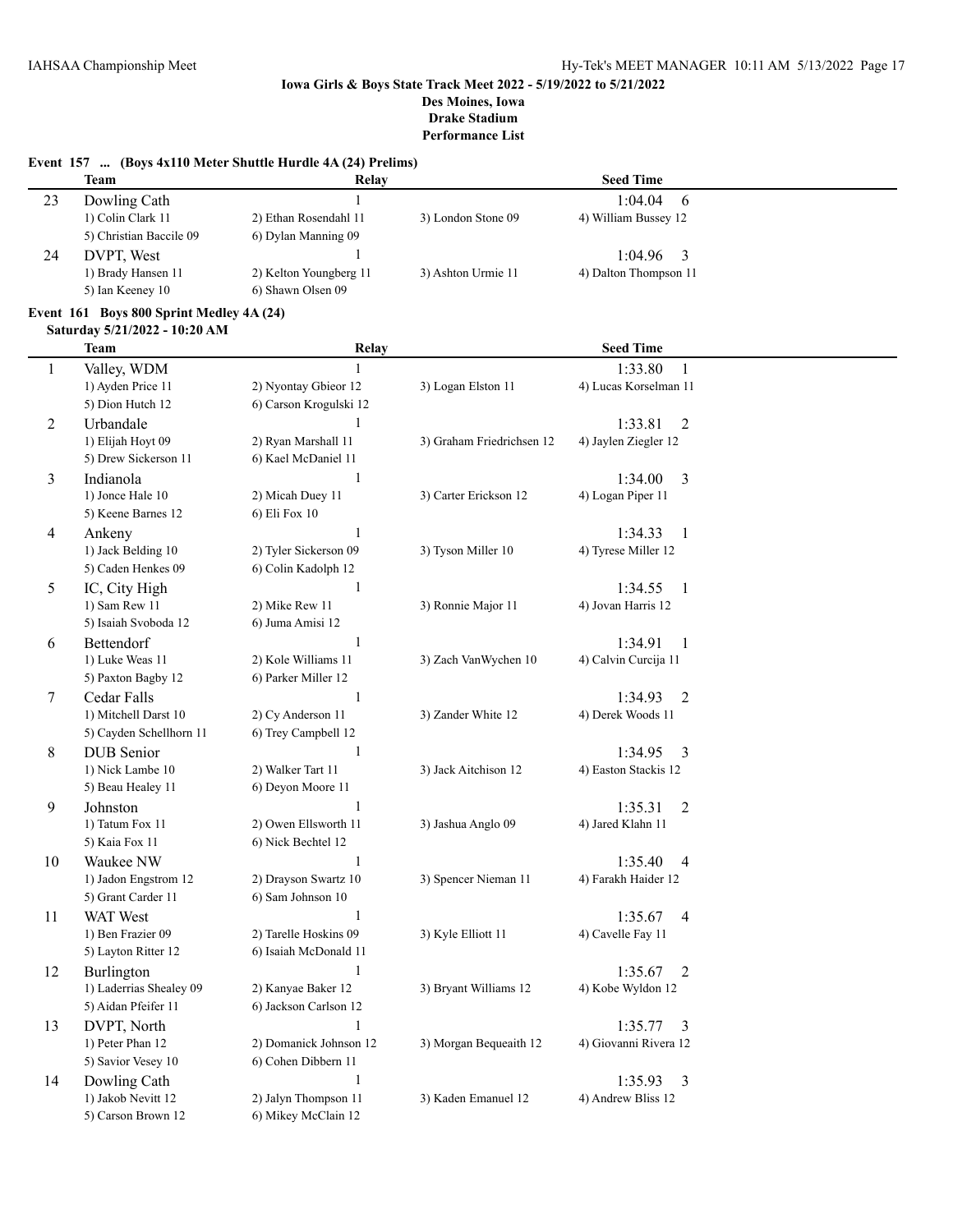# **Event 157 ... (Boys 4x110 Meter Shuttle Hurdle 4A (24) Prelims)**

|    | Team                    | Relay                  |                    | <b>Seed Time</b>      |  |
|----|-------------------------|------------------------|--------------------|-----------------------|--|
| 23 | Dowling Cath            |                        |                    | 1:04.04<br>- 6        |  |
|    | 1) Colin Clark 11       | 2) Ethan Rosendahl 11  | 3) London Stone 09 | 4) William Bussey 12  |  |
|    | 5) Christian Baccile 09 | 6) Dylan Manning 09    |                    |                       |  |
| 24 | DVPT. West              |                        |                    | 1:04.96               |  |
|    | 1) Brady Hansen 11      | 2) Kelton Youngberg 11 | 3) Ashton Urmie 11 | 4) Dalton Thompson 11 |  |
|    | 5) Ian Keeney 10        | 6) Shawn Olsen 09      |                    |                       |  |

### **Event 161 Boys 800 Sprint Medley 4A (24)**

### **Saturday 5/21/2022 - 10:20 AM**

|              | <b>Team</b>             | Relay                  |                           | <b>Seed Time</b>                   |  |
|--------------|-------------------------|------------------------|---------------------------|------------------------------------|--|
| $\mathbf{1}$ | Valley, WDM             | $\mathbf{1}$           |                           | 1:33.80<br>1                       |  |
|              | 1) Ayden Price 11       | 2) Nyontay Gbieor 12   | 3) Logan Elston 11        | 4) Lucas Korselman 11              |  |
|              | 5) Dion Hutch 12        | 6) Carson Krogulski 12 |                           |                                    |  |
| 2            | Urbandale               | 1                      |                           | 1:33.81<br>2                       |  |
|              | 1) Elijah Hoyt 09       | 2) Ryan Marshall 11    | 3) Graham Friedrichsen 12 | 4) Jaylen Ziegler 12               |  |
|              | 5) Drew Sickerson 11    | 6) Kael McDaniel 11    |                           |                                    |  |
| 3            | Indianola               | $\,1$                  |                           | 3<br>1:34.00                       |  |
|              | 1) Jonce Hale 10        | 2) Micah Duey 11       | 3) Carter Erickson 12     | 4) Logan Piper 11                  |  |
|              | 5) Keene Barnes 12      | 6) Eli Fox 10          |                           |                                    |  |
| 4            | Ankeny                  | $\mathbf{1}$           |                           | 1:34.33<br>1                       |  |
|              | 1) Jack Belding 10      | 2) Tyler Sickerson 09  | 3) Tyson Miller 10        | 4) Tyrese Miller 12                |  |
|              | 5) Caden Henkes 09      | 6) Colin Kadolph 12    |                           |                                    |  |
| 5            | IC, City High           | $\mathbf{1}$           |                           | 1:34.55<br>$\mathbf{1}$            |  |
|              | 1) Sam Rew 11           | 2) Mike Rew 11         | 3) Ronnie Major 11        | 4) Jovan Harris 12                 |  |
|              | 5) Isaiah Svoboda 12    | 6) Juma Amisi 12       |                           |                                    |  |
| 6            | Bettendorf              | $\mathbf{1}$           |                           | 1:34.91<br>$\mathbf{1}$            |  |
|              | 1) Luke Weas 11         | 2) Kole Williams 11    | 3) Zach VanWychen 10      | 4) Calvin Curcija 11               |  |
|              | 5) Paxton Bagby 12      | 6) Parker Miller 12    |                           |                                    |  |
| 7            | Cedar Falls             | $\mathbf{1}$           |                           | $\overline{2}$<br>1:34.93          |  |
|              | 1) Mitchell Darst 10    | 2) Cy Anderson 11      | 3) Zander White 12        | 4) Derek Woods 11                  |  |
|              | 5) Cayden Schellhorn 11 | 6) Trey Campbell 12    |                           |                                    |  |
| 8            | <b>DUB</b> Senior       | $\mathbf{1}$           |                           | 3<br>1:34.95                       |  |
|              | 1) Nick Lambe 10        | 2) Walker Tart 11      | 3) Jack Aitchison 12      | 4) Easton Stackis 12               |  |
|              | 5) Beau Healey 11       | 6) Deyon Moore 11      |                           |                                    |  |
| 9            | Johnston                | $\mathbf{1}$           |                           | 1:35.31<br>2                       |  |
|              | 1) Tatum Fox 11         | 2) Owen Ellsworth 11   | 3) Jashua Anglo 09        | 4) Jared Klahn 11                  |  |
|              | 5) Kaia Fox 11          | 6) Nick Bechtel 12     |                           |                                    |  |
| 10           | Waukee NW               | $\mathbf{1}$           |                           | 1:35.40<br>$\overline{4}$          |  |
|              | 1) Jadon Engstrom 12    | 2) Drayson Swartz 10   | 3) Spencer Nieman 11      | 4) Farakh Haider 12                |  |
|              | 5) Grant Carder 11      | 6) Sam Johnson 10      |                           |                                    |  |
| 11           | <b>WAT</b> West         | $\mathbf{1}$           |                           | $\overline{\mathbf{4}}$<br>1:35.67 |  |
|              | 1) Ben Frazier 09       | 2) Tarelle Hoskins 09  | 3) Kyle Elliott 11        | 4) Cavelle Fay 11                  |  |
|              | 5) Layton Ritter 12     | 6) Isaiah McDonald 11  |                           |                                    |  |
| 12           | Burlington              | $\mathbf{1}$           |                           | 1:35.67<br>$\overline{2}$          |  |
|              | 1) Laderrias Shealey 09 | 2) Kanyae Baker 12     | 3) Bryant Williams 12     | 4) Kobe Wyldon 12                  |  |
|              | 5) Aidan Pfeifer 11     | 6) Jackson Carlson 12  |                           |                                    |  |
| 13           | DVPT, North             | $\mathbf{1}$           |                           | 1:35.77<br>3                       |  |
|              | 1) Peter Phan 12        | 2) Domanick Johnson 12 | 3) Morgan Bequeaith 12    | 4) Giovanni Rivera 12              |  |
|              | 5) Savior Vesey 10      | 6) Cohen Dibbern 11    |                           |                                    |  |
| 14           | Dowling Cath            | 1                      |                           | 1:35.93<br>3                       |  |
|              | 1) Jakob Nevitt 12      | 2) Jalyn Thompson 11   | 3) Kaden Emanuel 12       | 4) Andrew Bliss 12                 |  |
|              | 5) Carson Brown 12      | 6) Mikey McClain 12    |                           |                                    |  |
|              |                         |                        |                           |                                    |  |